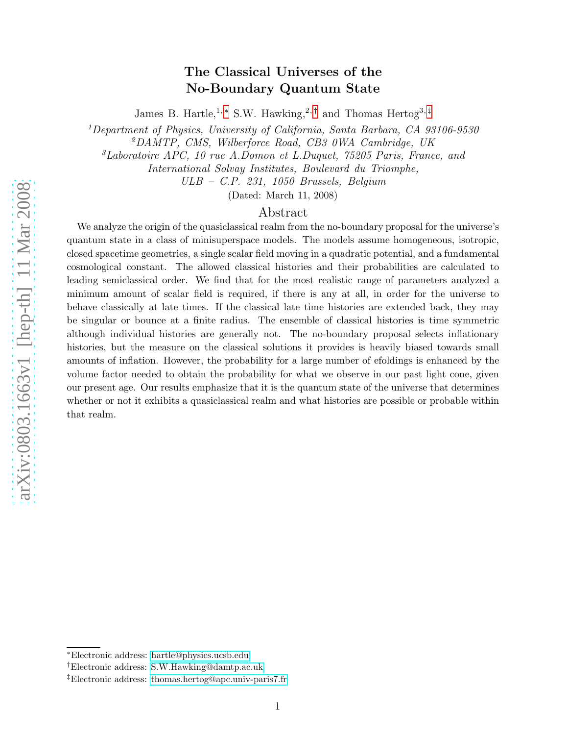# The Classical Universes of the No-Boundary Quantum State

James B. Hartle,<sup>1,\*</sup> S.W. Hawking,<sup>2,[†](#page-0-1)</sup> and Thomas Hertog<sup>3,[‡](#page-0-2)</sup>

<sup>1</sup>*Department of Physics, University of California, Santa Barbara, CA 93106-9530* <sup>2</sup>*DAMTP, CMS, Wilberforce Road, CB3 0WA Cambridge, UK* <sup>3</sup>*Laboratoire APC, 10 rue A.Domon et L.Duquet, 75205 Paris, France, and*

*International Solvay Institutes, Boulevard du Triomphe,*

*ULB – C.P. 231, 1050 Brussels, Belgium*

(Dated: March 11, 2008)

## Abstract

We analyze the origin of the quasiclassical realm from the no-boundary proposal for the universe's quantum state in a class of minisuperspace models. The models assume homogeneous, isotropic, closed spacetime geometries, a single scalar field moving in a quadratic potential, and a fundamental cosmological constant. The allowed classical histories and their probabilities are calculated to leading semiclassical order. We find that for the most realistic range of parameters analyzed a minimum amount of scalar field is required, if there is any at all, in order for the universe to behave classically at late times. If the classical late time histories are extended back, they may be singular or bounce at a finite radius. The ensemble of classical histories is time symmetric although individual histories are generally not. The no-boundary proposal selects inflationary histories, but the measure on the classical solutions it provides is heavily biased towards small amounts of inflation. However, the probability for a large number of efoldings is enhanced by the volume factor needed to obtain the probability for what we observe in our past light cone, given our present age. Our results emphasize that it is the quantum state of the universe that determines whether or not it exhibits a quasiclassical realm and what histories are possible or probable within that realm.

<span id="page-0-0"></span><sup>∗</sup>Electronic address: [hartle@physics.ucsb.edu](mailto:hartle@physics.ucsb.edu)

<span id="page-0-1"></span><sup>†</sup>Electronic address: [S.W.Hawking@damtp.ac.uk](mailto:S.W.Hawking@damtp.ac.uk)

<span id="page-0-2"></span><sup>‡</sup>Electronic address: [thomas.hertog@apc.univ-paris7.fr](mailto:thomas.hertog@apc.univ-paris7.fr)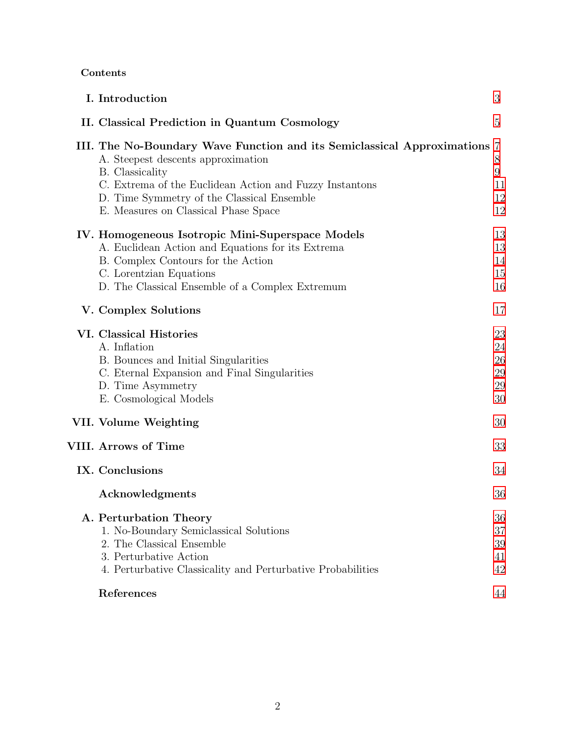## Contents

| I. Introduction                                                                                                                                                                                                                                                                     | 3                                     |
|-------------------------------------------------------------------------------------------------------------------------------------------------------------------------------------------------------------------------------------------------------------------------------------|---------------------------------------|
| II. Classical Prediction in Quantum Cosmology                                                                                                                                                                                                                                       | 5                                     |
| III. The No-Boundary Wave Function and its Semiclassical Approximations 7<br>A. Steepest descents approximation<br>B. Classicality<br>C. Extrema of the Euclidean Action and Fuzzy Instantons<br>D. Time Symmetry of the Classical Ensemble<br>E. Measures on Classical Phase Space | 8<br>$9\phantom{.}$<br>11<br>12<br>12 |
| IV. Homogeneous Isotropic Mini-Superspace Models<br>A. Euclidean Action and Equations for its Extrema<br>B. Complex Contours for the Action<br>C. Lorentzian Equations<br>D. The Classical Ensemble of a Complex Extremum                                                           | 13<br>13<br>14<br>15<br>16            |
| V. Complex Solutions                                                                                                                                                                                                                                                                | 17                                    |
| <b>VI. Classical Histories</b><br>A. Inflation<br>B. Bounces and Initial Singularities<br>C. Eternal Expansion and Final Singularities<br>D. Time Asymmetry<br>E. Cosmological Models                                                                                               | 23<br>24<br>26<br>29<br>29<br>30      |
| VII. Volume Weighting                                                                                                                                                                                                                                                               | 30                                    |
| VIII. Arrows of Time                                                                                                                                                                                                                                                                | 33                                    |
| IX. Conclusions                                                                                                                                                                                                                                                                     | 34                                    |
| Acknowledgments                                                                                                                                                                                                                                                                     | 36                                    |
| A. Perturbation Theory<br>1. No-Boundary Semiclassical Solutions<br>2. The Classical Ensemble<br>3. Perturbative Action<br>4. Perturbative Classicality and Perturbative Probabilities                                                                                              | 36<br>37<br>39<br>41<br>42            |
| References                                                                                                                                                                                                                                                                          | 44                                    |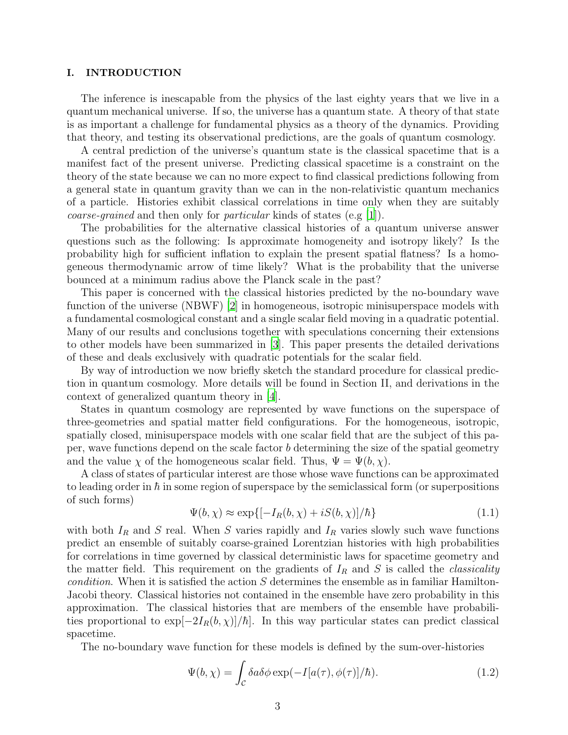#### <span id="page-2-0"></span>I. INTRODUCTION

The inference is inescapable from the physics of the last eighty years that we live in a quantum mechanical universe. If so, the universe has a quantum state. A theory of that state is as important a challenge for fundamental physics as a theory of the dynamics. Providing that theory, and testing its observational predictions, are the goals of quantum cosmology.

A central prediction of the universe's quantum state is the classical spacetime that is a manifest fact of the present universe. Predicting classical spacetime is a constraint on the theory of the state because we can no more expect to find classical predictions following from a general state in quantum gravity than we can in the non-relativistic quantum mechanics of a particle. Histories exhibit classical correlations in time only when they are suitably *coarse-grained* and then only for *particular* kinds of states (e.g [\[1\]](#page-43-1)).

The probabilities for the alternative classical histories of a quantum universe answer questions such as the following: Is approximate homogeneity and isotropy likely? Is the probability high for sufficient inflation to explain the present spatial flatness? Is a homogeneous thermodynamic arrow of time likely? What is the probability that the universe bounced at a minimum radius above the Planck scale in the past?

This paper is concerned with the classical histories predicted by the no-boundary wave function of the universe (NBWF) [\[2\]](#page-43-2) in homogeneous, isotropic minisuperspace models with a fundamental cosmological constant and a single scalar field moving in a quadratic potential. Many of our results and conclusions together with speculations concerning their extensions to other models have been summarized in [\[3](#page-43-3)]. This paper presents the detailed derivations of these and deals exclusively with quadratic potentials for the scalar field.

By way of introduction we now briefly sketch the standard procedure for classical prediction in quantum cosmology. More details will be found in Section II, and derivations in the context of generalized quantum theory in [\[4](#page-43-4)].

States in quantum cosmology are represented by wave functions on the superspace of three-geometries and spatial matter field configurations. For the homogeneous, isotropic, spatially closed, minisuperspace models with one scalar field that are the subject of this paper, wave functions depend on the scale factor b determining the size of the spatial geometry and the value  $\chi$  of the homogeneous scalar field. Thus,  $\Psi = \Psi(b, \chi)$ .

A class of states of particular interest are those whose wave functions can be approximated to leading order in  $\hbar$  in some region of superspace by the semiclassical form (or superpositions of such forms)

<span id="page-2-2"></span>
$$
\Psi(b,\chi) \approx \exp\{[-I_R(b,\chi) + iS(b,\chi)]/\hbar\}
$$
\n(1.1)

with both  $I_R$  and S real. When S varies rapidly and  $I_R$  varies slowly such wave functions predict an ensemble of suitably coarse-grained Lorentzian histories with high probabilities for correlations in time governed by classical deterministic laws for spacetime geometry and the matter field. This requirement on the gradients of  $I_R$  and  $S$  is called the *classicality condition*. When it is satisfied the action S determines the ensemble as in familiar Hamilton-Jacobi theory. Classical histories not contained in the ensemble have zero probability in this approximation. The classical histories that are members of the ensemble have probabilities proportional to  $\exp[-2I_R(b,\chi)]/\hbar$ . In this way particular states can predict classical spacetime.

The no-boundary wave function for these models is defined by the sum-over-histories

<span id="page-2-1"></span>
$$
\Psi(b,\chi) = \int_{\mathcal{C}} \delta a \delta \phi \exp(-I[a(\tau), \phi(\tau)]/\hbar). \tag{1.2}
$$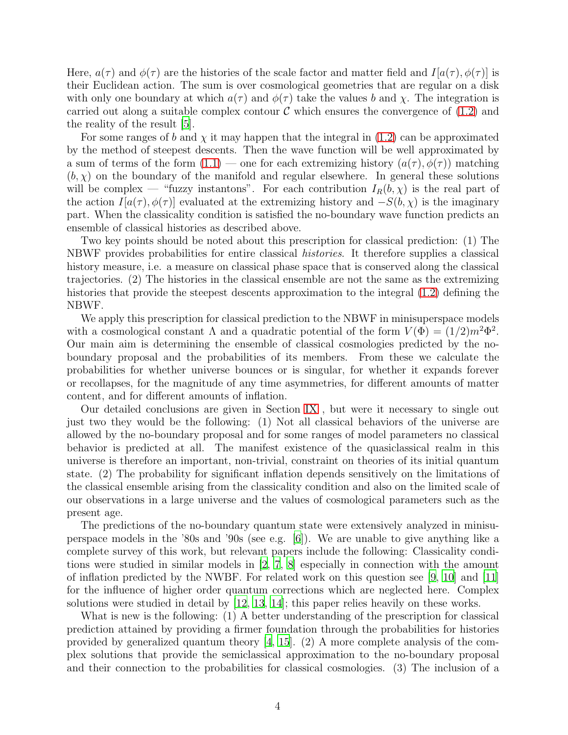Here,  $a(\tau)$  and  $\phi(\tau)$  are the histories of the scale factor and matter field and  $I[a(\tau), \phi(\tau)]$  is their Euclidean action. The sum is over cosmological geometries that are regular on a disk with only one boundary at which  $a(\tau)$  and  $\phi(\tau)$  take the values b and  $\chi$ . The integration is carried out along a suitable complex contour  $\mathcal C$  which ensures the convergence of  $(1.2)$  and the reality of the result [\[5\]](#page-43-5).

For some ranges of b and  $\chi$  it may happen that the integral in [\(1.2\)](#page-2-1) can be approximated by the method of steepest descents. Then the wave function will be well approximated by a sum of terms of the form  $(1.1)$  — one for each extremizing history  $(a(\tau), \phi(\tau))$  matching  $(b, \chi)$  on the boundary of the manifold and regular elsewhere. In general these solutions will be complex — "fuzzy instantons". For each contribution  $I_R(b,\chi)$  is the real part of the action  $I[a(\tau), \phi(\tau)]$  evaluated at the extremizing history and  $-S(b, \chi)$  is the imaginary part. When the classicality condition is satisfied the no-boundary wave function predicts an ensemble of classical histories as described above.

Two key points should be noted about this prescription for classical prediction: (1) The NBWF provides probabilities for entire classical *histories*. It therefore supplies a classical history measure, i.e. a measure on classical phase space that is conserved along the classical trajectories. (2) The histories in the classical ensemble are not the same as the extremizing histories that provide the steepest descents approximation to the integral [\(1.2\)](#page-2-1) defining the NBWF.

We apply this prescription for classical prediction to the NBWF in minisuperspace models with a cosmological constant  $\Lambda$  and a quadratic potential of the form  $V(\Phi) = (1/2)m^2\Phi^2$ . Our main aim is determining the ensemble of classical cosmologies predicted by the noboundary proposal and the probabilities of its members. From these we calculate the probabilities for whether universe bounces or is singular, for whether it expands forever or recollapses, for the magnitude of any time asymmetries, for different amounts of matter content, and for different amounts of inflation.

Our detailed conclusions are given in Section [IX](#page-33-0) , but were it necessary to single out just two they would be the following: (1) Not all classical behaviors of the universe are allowed by the no-boundary proposal and for some ranges of model parameters no classical behavior is predicted at all. The manifest existence of the quasiclassical realm in this universe is therefore an important, non-trivial, constraint on theories of its initial quantum state. (2) The probability for significant inflation depends sensitively on the limitations of the classical ensemble arising from the classicality condition and also on the limited scale of our observations in a large universe and the values of cosmological parameters such as the present age.

The predictions of the no-boundary quantum state were extensively analyzed in minisuperspace models in the '80s and '90s (see e.g. [\[6](#page-43-6)]). We are unable to give anything like a complete survey of this work, but relevant papers include the following: Classicality conditions were studied in similar models in [\[2](#page-43-2), [7](#page-44-0), [8](#page-44-1)] especially in connection with the amount of inflation predicted by the NWBF. For related work on this question see  $[9, 10]$  $[9, 10]$  $[9, 10]$  and  $[11]$ for the influence of higher order quantum corrections which are neglected here. Complex solutions were studied in detail by [\[12](#page-45-0), [13](#page-45-1), [14](#page-45-2)]; this paper relies heavily on these works.

What is new is the following: (1) A better understanding of the prescription for classical prediction attained by providing a firmer foundation through the probabilities for histories provided by generalized quantum theory  $[4, 15]$  $[4, 15]$  $[4, 15]$ . (2) A more complete analysis of the complex solutions that provide the semiclassical approximation to the no-boundary proposal and their connection to the probabilities for classical cosmologies. (3) The inclusion of a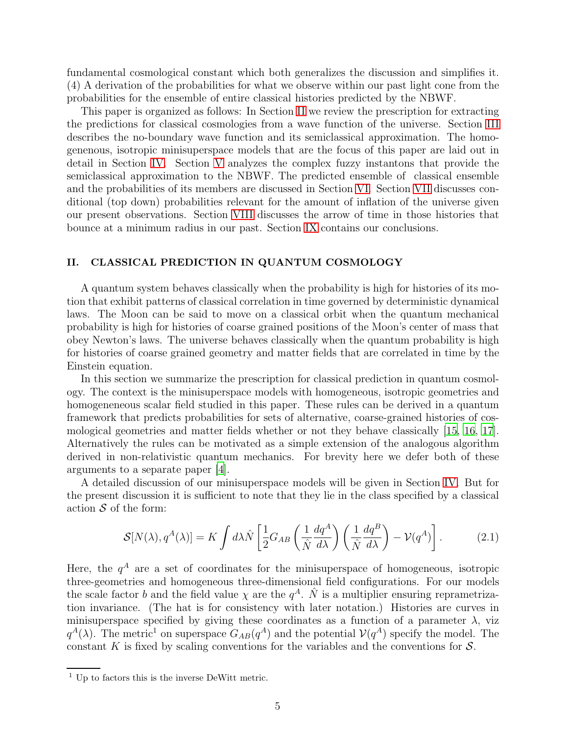fundamental cosmological constant which both generalizes the discussion and simplifies it. (4) A derivation of the probabilities for what we observe within our past light cone from the probabilities for the ensemble of entire classical histories predicted by the NBWF.

This paper is organized as follows: In Section [II](#page-4-0) we review the prescription for extracting the predictions for classical cosmologies from a wave function of the universe. Section [III](#page-6-0) describes the no-boundary wave function and its semiclassical approximation. The homogenenous, isotropic minisuperspace models that are the focus of this paper are laid out in detail in Section [IV.](#page-12-0) Section [V](#page-16-0) analyzes the complex fuzzy instantons that provide the semiclassical approximation to the NBWF. The predicted ensemble of classical ensemble and the probabilities of its members are discussed in Section [VI.](#page-22-0) Section [VII](#page-29-1) discusses conditional (top down) probabilities relevant for the amount of inflation of the universe given our present observations. Section [VIII](#page-32-0) discusses the arrow of time in those histories that bounce at a minimum radius in our past. Section [IX](#page-33-0) contains our conclusions.

## <span id="page-4-0"></span>II. CLASSICAL PREDICTION IN QUANTUM COSMOLOGY

A quantum system behaves classically when the probability is high for histories of its motion that exhibit patterns of classical correlation in time governed by deterministic dynamical laws. The Moon can be said to move on a classical orbit when the quantum mechanical probability is high for histories of coarse grained positions of the Moon's center of mass that obey Newton's laws. The universe behaves classically when the quantum probability is high for histories of coarse grained geometry and matter fields that are correlated in time by the Einstein equation.

In this section we summarize the prescription for classical prediction in quantum cosmology. The context is the minisuperspace models with homogeneous, isotropic geometries and homogeneneous scalar field studied in this paper. These rules can be derived in a quantum framework that predicts probabilities for sets of alternative, coarse-grained histories of cosmological geometries and matter fields whether or not they behave classically [\[15,](#page-45-3) [16](#page-45-4), [17\]](#page-45-5). Alternatively the rules can be motivated as a simple extension of the analogous algorithm derived in non-relativistic quantum mechanics. For brevity here we defer both of these arguments to a separate paper [\[4](#page-43-4)].

A detailed discussion of our minisuperspace models will be given in Section [IV.](#page-12-0) But for the present discussion it is sufficient to note that they lie in the class specified by a classical action  $S$  of the form:

<span id="page-4-1"></span>
$$
S[N(\lambda), q^A(\lambda)] = K \int d\lambda \hat{N} \left[ \frac{1}{2} G_{AB} \left( \frac{1}{\hat{N}} \frac{dq^A}{d\lambda} \right) \left( \frac{1}{\hat{N}} \frac{dq^B}{d\lambda} \right) - \mathcal{V}(q^A) \right].
$$
 (2.1)

Here, the  $q^A$  are a set of coordinates for the minisuperspace of homogeneous, isotropic three-geometries and homogeneous three-dimensional field configurations. For our models the scale factor b and the field value  $\chi$  are the  $q^A$ .  $\hat{N}$  is a multiplier ensuring reprametrization invariance. (The hat is for consistency with later notation.) Histories are curves in minisuperspace specified by giving these coordinates as a function of a parameter  $\lambda$ , viz  $q^A(\lambda)$ . The metric<sup>1</sup> on superspace  $G_{AB}(q^A)$  and the potential  $\mathcal{V}(q^A)$  specify the model. The constant K is fixed by scaling conventions for the variables and the conventions for  $\mathcal{S}$ .

 $1$  Up to factors this is the inverse DeWitt metric.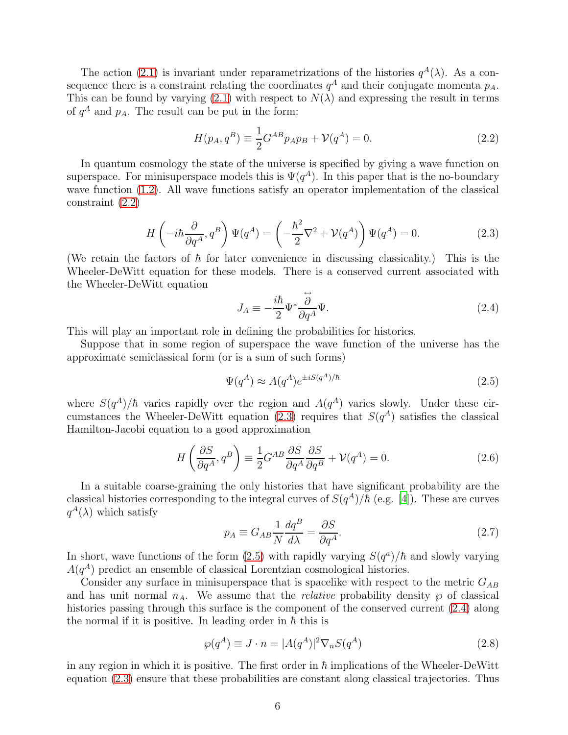The action [\(2.1\)](#page-4-1) is invariant under reparametrizations of the histories  $q^A(\lambda)$ . As a consequence there is a constraint relating the coordinates  $q^A$  and their conjugate momenta  $p_A$ . This can be found by varying [\(2.1\)](#page-4-1) with respect to  $N(\lambda)$  and expressing the result in terms of  $q^A$  and  $p_A$ . The result can be put in the form:

<span id="page-5-0"></span>
$$
H(p_A, q^B) \equiv \frac{1}{2} G^{AB} p_A p_B + \mathcal{V}(q^A) = 0.
$$
 (2.2)

In quantum cosmology the state of the universe is specified by giving a wave function on superspace. For minisuperspace models this is  $\Psi(q^A)$ . In this paper that is the no-boundary wave function [\(1.2\)](#page-2-1). All wave functions satisfy an operator implementation of the classical constraint [\(2.2\)](#page-5-0)

<span id="page-5-1"></span>
$$
H\left(-i\hbar\frac{\partial}{\partial q^A}, q^B\right)\Psi(q^A) = \left(-\frac{\hbar^2}{2}\nabla^2 + \mathcal{V}(q^A)\right)\Psi(q^A) = 0.
$$
 (2.3)

(We retain the factors of  $\hbar$  for later convenience in discussing classicality.) This is the Wheeler-DeWitt equation for these models. There is a conserved current associated with the Wheeler-DeWitt equation ↔

<span id="page-5-3"></span>
$$
J_A \equiv -\frac{i\hbar}{2} \Psi^* \frac{\overleftrightarrow{\partial}}{\partial q^A} \Psi.
$$
\n(2.4)

This will play an important role in defining the probabilities for histories.

Suppose that in some region of superspace the wave function of the universe has the approximate semiclassical form (or is a sum of such forms)

<span id="page-5-2"></span>
$$
\Psi(q^A) \approx A(q^A)e^{\pm iS(q^A)/\hbar} \tag{2.5}
$$

where  $S(q^A)/\hbar$  varies rapidly over the region and  $A(q^A)$  varies slowly. Under these cir-cumstances the Wheeler-DeWitt equation [\(2.3\)](#page-5-1) requires that  $S(q^A)$  satisfies the classical Hamilton-Jacobi equation to a good approximation

$$
H\left(\frac{\partial S}{\partial q^A}, q^B\right) \equiv \frac{1}{2} G^{AB} \frac{\partial S}{\partial q^A} \frac{\partial S}{\partial q^B} + \mathcal{V}(q^A) = 0.
$$
 (2.6)

In a suitable coarse-graining the only histories that have significant probability are the classical histories corresponding to the integral curves of  $S(q^A)/\hbar$  (e.g. [\[4\]](#page-43-4)). These are curves  $q^A(\lambda)$  which satisfy

<span id="page-5-5"></span>
$$
p_A \equiv G_{AB} \frac{1}{N} \frac{dq^B}{d\lambda} = \frac{\partial S}{\partial q^A}.
$$
\n(2.7)

In short, wave functions of the form  $(2.5)$  with rapidly varying  $S(q^a)/\hbar$  and slowly varying  $A(q<sup>A</sup>)$  predict an ensemble of classical Lorentzian cosmological histories.

Consider any surface in minisuperspace that is spacelike with respect to the metric  $G_{AB}$ and has unit normal  $n_A$ . We assume that the *relative* probability density  $\wp$  of classical histories passing through this surface is the component of the conserved current [\(2.4\)](#page-5-3) along the normal if it is positive. In leading order in  $\hbar$  this is

<span id="page-5-4"></span>
$$
\wp(q^A) \equiv J \cdot n = |A(q^A)|^2 \nabla_n S(q^A)
$$
\n(2.8)

in any region in which it is positive. The first order in  $\hbar$  implications of the Wheeler-DeWitt equation [\(2.3\)](#page-5-1) ensure that these probabilities are constant along classical trajectories. Thus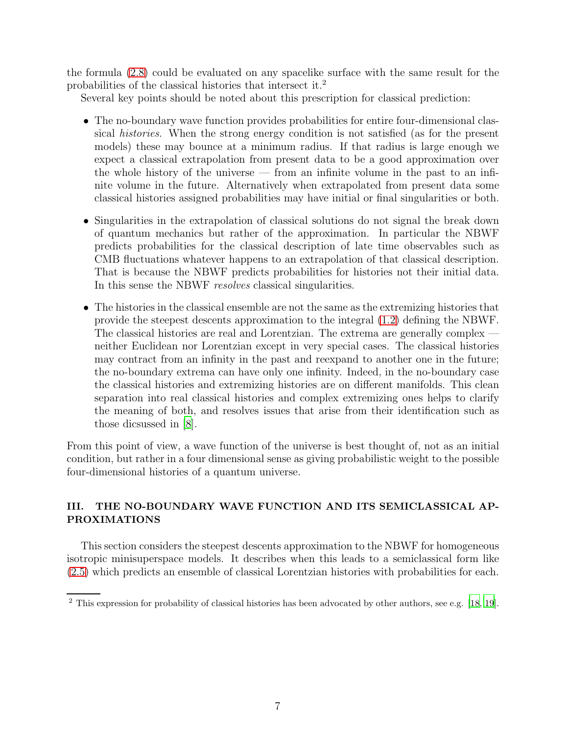the formula [\(2.8\)](#page-5-4) could be evaluated on any spacelike surface with the same result for the probabilities of the classical histories that intersect it. 2

Several key points should be noted about this prescription for classical prediction:

- The no-boundary wave function provides probabilities for entire four-dimensional classical *histories*. When the strong energy condition is not satisfied (as for the present models) these may bounce at a minimum radius. If that radius is large enough we expect a classical extrapolation from present data to be a good approximation over the whole history of the universe — from an infinite volume in the past to an infinite volume in the future. Alternatively when extrapolated from present data some classical histories assigned probabilities may have initial or final singularities or both.
- Singularities in the extrapolation of classical solutions do not signal the break down of quantum mechanics but rather of the approximation. In particular the NBWF predicts probabilities for the classical description of late time observables such as CMB fluctuations whatever happens to an extrapolation of that classical description. That is because the NBWF predicts probabilities for histories not their initial data. In this sense the NBWF *resolves* classical singularities.
- The histories in the classical ensemble are not the same as the extremizing histories that provide the steepest descents approximation to the integral [\(1.2\)](#page-2-1) defining the NBWF. The classical histories are real and Lorentzian. The extrema are generally complex neither Euclidean nor Lorentzian except in very special cases. The classical histories may contract from an infinity in the past and reexpand to another one in the future; the no-boundary extrema can have only one infinity. Indeed, in the no-boundary case the classical histories and extremizing histories are on different manifolds. This clean separation into real classical histories and complex extremizing ones helps to clarify the meaning of both, and resolves issues that arise from their identification such as those dicsussed in [\[8](#page-44-1)].

From this point of view, a wave function of the universe is best thought of, not as an initial condition, but rather in a four dimensional sense as giving probabilistic weight to the possible four-dimensional histories of a quantum universe.

## <span id="page-6-0"></span>III. THE NO-BOUNDARY WAVE FUNCTION AND ITS SEMICLASSICAL AP-PROXIMATIONS

This section considers the steepest descents approximation to the NBWF for homogeneous isotropic minisuperspace models. It describes when this leads to a semiclassical form like [\(2.5\)](#page-5-2) which predicts an ensemble of classical Lorentzian histories with probabilities for each.

<sup>&</sup>lt;sup>2</sup> This expression for probability of classical histories has been advocated by other authors, see e.g. [\[18](#page-45-6), [19\]](#page-45-7).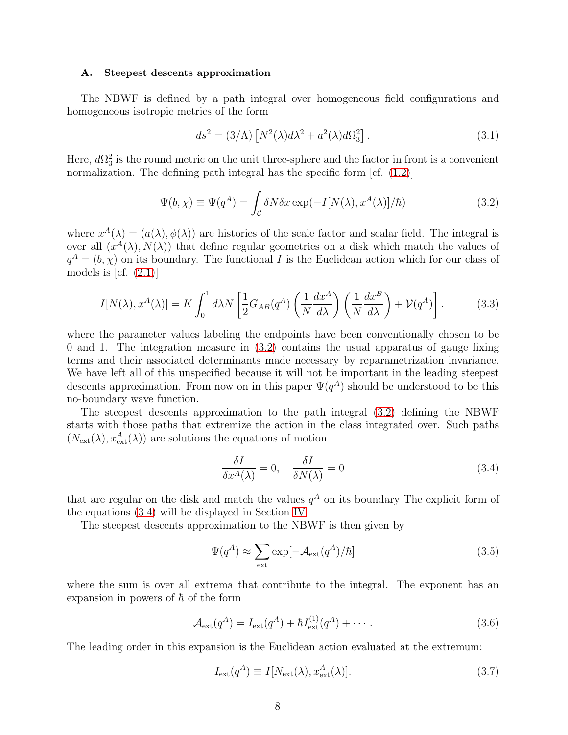#### <span id="page-7-0"></span>A. Steepest descents approximation

The NBWF is defined by a path integral over homogeneous field configurations and homogeneous isotropic metrics of the form

$$
ds^{2} = (3/\Lambda) \left[ N^{2}(\lambda)d\lambda^{2} + a^{2}(\lambda)d\Omega_{3}^{2} \right].
$$
 (3.1)

Here,  $d\Omega_3^2$  is the round metric on the unit three-sphere and the factor in front is a convenient normalization. The defining path integral has the specific form [cf.  $(1.2)$ ]

$$
\Psi(b,\chi) \equiv \Psi(q^A) = \int_{\mathcal{C}} \delta N \delta x \exp(-I[N(\lambda), x^A(\lambda)]/\hbar)
$$
\n(3.2)

where  $x^A(\lambda) = (a(\lambda), \phi(\lambda))$  are histories of the scale factor and scalar field. The integral is over all  $(x^{\mathcal{A}}(\lambda), N(\lambda))$  that define regular geometries on a disk which match the values of  $q^A = (b, \chi)$  on its boundary. The functional I is the Euclidean action which for our class of models is [cf.  $(2.1)$ ]

<span id="page-7-2"></span>
$$
I[N(\lambda), x^{A}(\lambda)] = K \int_{0}^{1} d\lambda N \left[ \frac{1}{2} G_{AB}(q^{A}) \left( \frac{1}{N} \frac{dx^{A}}{d\lambda} \right) \left( \frac{1}{N} \frac{dx^{B}}{d\lambda} \right) + \mathcal{V}(q^{A}) \right].
$$
 (3.3)

where the parameter values labeling the endpoints have been conventionally chosen to be 0 and 1. The integration measure in [\(3.2\)](#page-11-2) contains the usual apparatus of gauge fixing terms and their associated determinants made necessary by reparametrization invariance. We have left all of this unspecified because it will not be important in the leading steepest descents approximation. From now on in this paper  $\Psi(q^A)$  should be understood to be this no-boundary wave function.

The steepest descents approximation to the path integral [\(3.2\)](#page-11-2) defining the NBWF starts with those paths that extremize the action in the class integrated over. Such paths  $(N_{\text{ext}}(\lambda), x_{\text{ext}}^A(\lambda))$  are solutions the equations of motion

<span id="page-7-1"></span>
$$
\frac{\delta I}{\delta x^A(\lambda)} = 0, \quad \frac{\delta I}{\delta N(\lambda)} = 0 \tag{3.4}
$$

that are regular on the disk and match the values  $q<sup>A</sup>$  on its boundary The explicit form of the equations [\(3.4\)](#page-7-1) will be displayed in Section [IV.](#page-12-0)

The steepest descents approximation to the NBWF is then given by

$$
\Psi(q^A) \approx \sum_{\text{ext}} \exp[-\mathcal{A}_{\text{ext}}(q^A)/\hbar]
$$
\n(3.5)

where the sum is over all extrema that contribute to the integral. The exponent has an expansion in powers of  $\hbar$  of the form

$$
\mathcal{A}_{\text{ext}}(q^A) = I_{\text{ext}}(q^A) + \hbar I_{\text{ext}}^{(1)}(q^A) + \cdots
$$
 (3.6)

The leading order in this expansion is the Euclidean action evaluated at the extremum:

$$
I_{\text{ext}}(q^A) \equiv I[N_{\text{ext}}(\lambda), x_{\text{ext}}^A(\lambda)].
$$
\n(3.7)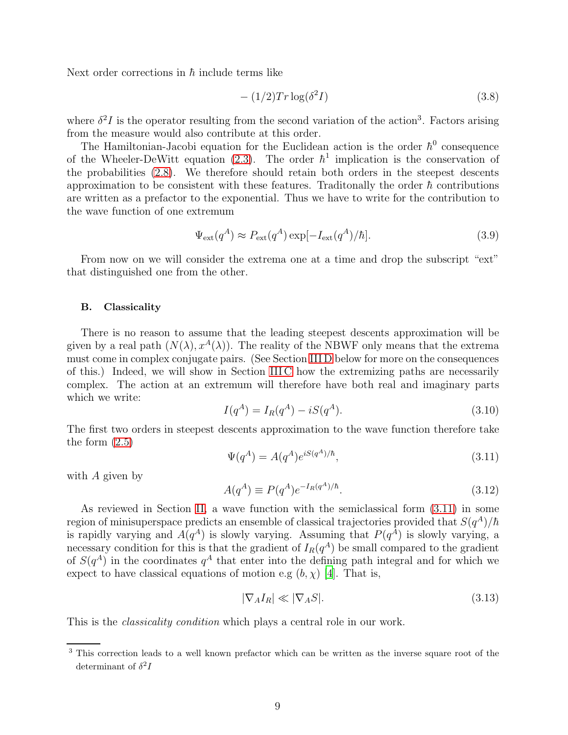Next order corrections in  $\hbar$  include terms like

$$
-(1/2)Tr \log(\delta^2 I) \tag{3.8}
$$

where  $\delta^2 I$  is the operator resulting from the second variation of the action<sup>3</sup>. Factors arising from the measure would also contribute at this order.

The Hamiltonian-Jacobi equation for the Euclidean action is the order  $\hbar^0$  consequence of the Wheeler-DeWitt equation [\(2.3\)](#page-5-1). The order  $\hbar^1$  implication is the conservation of the probabilities [\(2.8\)](#page-5-4). We therefore should retain both orders in the steepest descents approximation to be consistent with these features. Traditonally the order  $\hbar$  contributions are written as a prefactor to the exponential. Thus we have to write for the contribution to the wave function of one extremum

$$
\Psi_{\text{ext}}(q^A) \approx P_{\text{ext}}(q^A) \exp[-I_{\text{ext}}(q^A)/\hbar]. \tag{3.9}
$$

From now on we will consider the extrema one at a time and drop the subscript "ext" that distinguished one from the other.

## <span id="page-8-0"></span>B. Classicality

There is no reason to assume that the leading steepest descents approximation will be given by a real path  $(N(\lambda), x^{\mathcal{A}}(\lambda))$ . The reality of the NBWF only means that the extrema must come in complex conjugate pairs. (See Section [III D](#page-11-0) below for more on the consequences of this.) Indeed, we will show in Section [III C](#page-10-0) how the extremizing paths are necessarily complex. The action at an extremum will therefore have both real and imaginary parts which we write:

<span id="page-8-2"></span>
$$
I(q^A) = I_R(q^A) - iS(q^A).
$$
\n(3.10)

The first two orders in steepest descents approximation to the wave function therefore take the form [\(2.5\)](#page-5-2)

<span id="page-8-1"></span>
$$
\Psi(q^A) = A(q^A)e^{iS(q^A)/\hbar},\tag{3.11}
$$

with  $A$  given by

$$
A(q^A) \equiv P(q^A)e^{-I_R(q^A)/\hbar}.\tag{3.12}
$$

As reviewed in Section [II,](#page-4-0) a wave function with the semiclassical form [\(3.11\)](#page-8-1) in some region of minisuperspace predicts an ensemble of classical trajectories provided that  $S(q^A)/\hbar$ is rapidly varying and  $A(q^A)$  is slowly varying. Assuming that  $P(q^A)$  is slowly varying, a necessary condition for this is that the gradient of  $I_R(q^A)$  be small compared to the gradient of  $S(q<sup>A</sup>)$  in the coordinates  $q<sup>A</sup>$  that enter into the defining path integral and for which we expect to have classical equations of motion e.g  $(b, \chi)$  [\[4\]](#page-43-4). That is,

<span id="page-8-3"></span>
$$
|\nabla_A I_R| \ll |\nabla_A S|.\tag{3.13}
$$

This is the *classicality condition* which plays a central role in our work.

<sup>3</sup> This correction leads to a well known prefactor which can be written as the inverse square root of the determinant of  $\delta^2 I$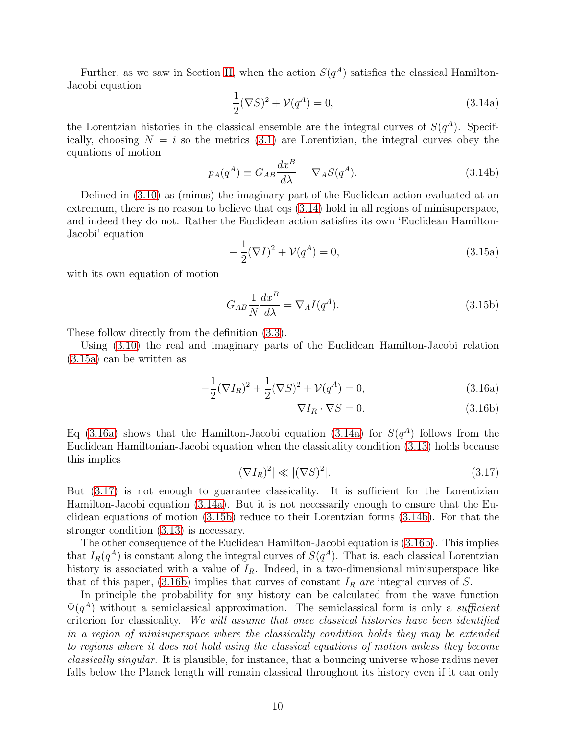<span id="page-9-0"></span>Further, as we saw in Section [II,](#page-4-0) when the action  $S(q<sup>A</sup>)$  satisfies the classical Hamilton-Jacobi equation

$$
\frac{1}{2}(\nabla S)^2 + \mathcal{V}(q^A) = 0,
$$
\n(3.14a)

the Lorentzian histories in the classical ensemble are the integral curves of  $S(q<sup>A</sup>)$ . Specifically, choosing  $N = i$  so the metrics [\(3.1\)](#page-11-3) are Lorentizian, the integral curves obey the equations of motion

$$
p_A(q^A) \equiv G_{AB} \frac{dx^B}{d\lambda} = \nabla_A S(q^A). \tag{3.14b}
$$

Defined in [\(3.10\)](#page-8-2) as (minus) the imaginary part of the Euclidean action evaluated at an extremum, there is no reason to believe that eqs [\(3.14\)](#page-9-0) hold in all regions of minisuperspace, and indeed they do not. Rather the Euclidean action satisfies its own 'Euclidean Hamilton-Jacobi' equation

$$
-\frac{1}{2}(\nabla I)^2 + \mathcal{V}(q^A) = 0,
$$
\n(3.15a)

with its own equation of motion

$$
G_{AB}\frac{1}{N}\frac{dx^B}{d\lambda} = \nabla_A I(q^A). \tag{3.15b}
$$

These follow directly from the definition [\(3.3\)](#page-7-2).

Using [\(3.10\)](#page-8-2) the real and imaginary parts of the Euclidean Hamilton-Jacobi relation [\(3.15a\)](#page-11-3) can be written as

$$
-\frac{1}{2}(\nabla I_R)^2 + \frac{1}{2}(\nabla S)^2 + \mathcal{V}(q^A) = 0,
$$
\n(3.16a)

$$
\nabla I_R \cdot \nabla S = 0. \tag{3.16b}
$$

Eq [\(3.16a\)](#page-11-3) shows that the Hamilton-Jacobi equation [\(3.14a\)](#page-11-3) for  $S(q^A)$  follows from the Euclidean Hamiltonian-Jacobi equation when the classicality condition [\(3.13\)](#page-8-3) holds because this implies

<span id="page-9-1"></span>
$$
|(\nabla I_R)^2| \ll |(\nabla S)^2|.
$$
\n(3.17)

But [\(3.17\)](#page-9-1) is not enough to guarantee classicality. It is sufficient for the Lorentizian Hamilton-Jacobi equation [\(3.14a\)](#page-11-3). But it is not necessarily enough to ensure that the Euclidean equations of motion [\(3.15b\)](#page-11-2) reduce to their Lorentzian forms [\(3.14b\)](#page-11-2). For that the stronger condition [\(3.13\)](#page-8-3) is necessary.

The other consequence of the Euclidean Hamilton-Jacobi equation is [\(3.16b\)](#page-11-2). This implies that  $I_R(q^A)$  is constant along the integral curves of  $S(q^A)$ . That is, each classical Lorentzian history is associated with a value of  $I_R$ . Indeed, in a two-dimensional minisuperspace like that of this paper,  $(3.16b)$  implies that curves of constant  $I_R$  *are* integral curves of S.

In principle the probability for any history can be calculated from the wave function  $\Psi(q^A)$  without a semiclassical approximation. The semiclassical form is only a *sufficient* criterion for classicality. *We will assume that once classical histories have been identified in a region of minisuperspace where the classicality condition holds they may be extended to regions where it does not hold using the classical equations of motion unless they become classically singular.* It is plausible, for instance, that a bouncing universe whose radius never falls below the Planck length will remain classical throughout its history even if it can only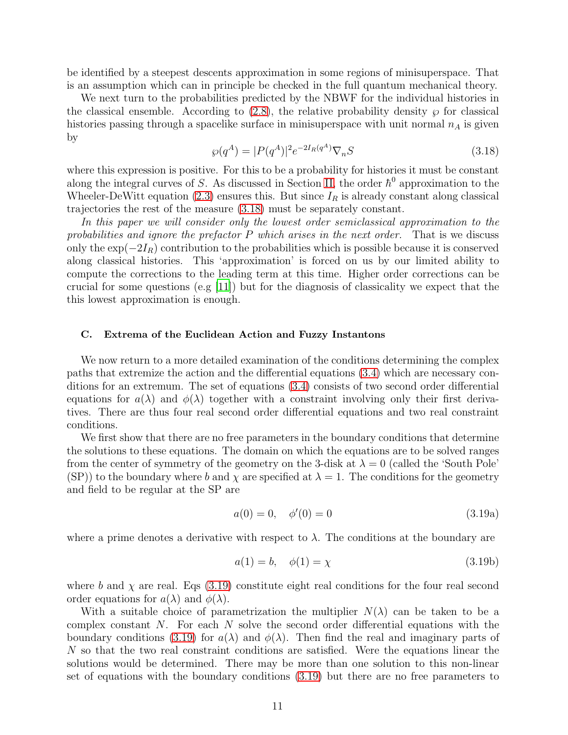be identified by a steepest descents approximation in some regions of minisuperspace. That is an assumption which can in principle be checked in the full quantum mechanical theory.

We next turn to the probabilities predicted by the NBWF for the individual histories in the classical ensemble. According to  $(2.8)$ , the relative probability density  $\wp$  for classical histories passing through a spacelike surface in minisuperspace with unit normal  $n_A$  is given by

<span id="page-10-1"></span>
$$
\wp(q^A) = |P(q^A)|^2 e^{-2I_R(q^A)} \nabla_n S \tag{3.18}
$$

where this expression is positive. For this to be a probability for histories it must be constant along the integral curves of S. As discussed in Section [II,](#page-4-0) the order  $\hbar^0$  approximation to the Wheeler-DeWitt equation [\(2.3\)](#page-5-1) ensures this. But since  $I_R$  is already constant along classical trajectories the rest of the measure [\(3.18\)](#page-10-1) must be separately constant.

*In this paper we will consider only the lowest order semiclassical approximation to the probabilities and ignore the prefactor* P *which arises in the next order.* That is we discuss only the  $\exp(-2I_R)$  contribution to the probabilities which is possible because it is conserved along classical histories. This 'approximation' is forced on us by our limited ability to compute the corrections to the leading term at this time. Higher order corrections can be crucial for some questions (e.g [\[11\]](#page-44-4)) but for the diagnosis of classicality we expect that the this lowest approximation is enough.

## <span id="page-10-0"></span>C. Extrema of the Euclidean Action and Fuzzy Instantons

We now return to a more detailed examination of the conditions determining the complex paths that extremize the action and the differential equations [\(3.4\)](#page-7-1) which are necessary conditions for an extremum. The set of equations [\(3.4\)](#page-7-1) consists of two second order differential equations for  $a(\lambda)$  and  $\phi(\lambda)$  together with a constraint involving only their first derivatives. There are thus four real second order differential equations and two real constraint conditions.

We first show that there are no free parameters in the boundary conditions that determine the solutions to these equations. The domain on which the equations are to be solved ranges from the center of symmetry of the geometry on the 3-disk at  $\lambda = 0$  (called the 'South Pole' (SP)) to the boundary where b and  $\chi$  are specified at  $\lambda = 1$ . The conditions for the geometry and field to be regular at the SP are

<span id="page-10-2"></span>
$$
a(0) = 0, \quad \phi'(0) = 0 \tag{3.19a}
$$

where a prime denotes a derivative with respect to  $\lambda$ . The conditions at the boundary are

$$
a(1) = b, \quad \phi(1) = \chi \tag{3.19b}
$$

where b and  $\chi$  are real. Eqs [\(3.19\)](#page-10-2) constitute eight real conditions for the four real second order equations for  $a(\lambda)$  and  $\phi(\lambda)$ .

With a suitable choice of parametrization the multiplier  $N(\lambda)$  can be taken to be a complex constant  $N$ . For each  $N$  solve the second order differential equations with the boundary conditions [\(3.19\)](#page-10-2) for  $a(\lambda)$  and  $\phi(\lambda)$ . Then find the real and imaginary parts of N so that the two real constraint conditions are satisfied. Were the equations linear the solutions would be determined. There may be more than one solution to this non-linear set of equations with the boundary conditions [\(3.19\)](#page-10-2) but there are no free parameters to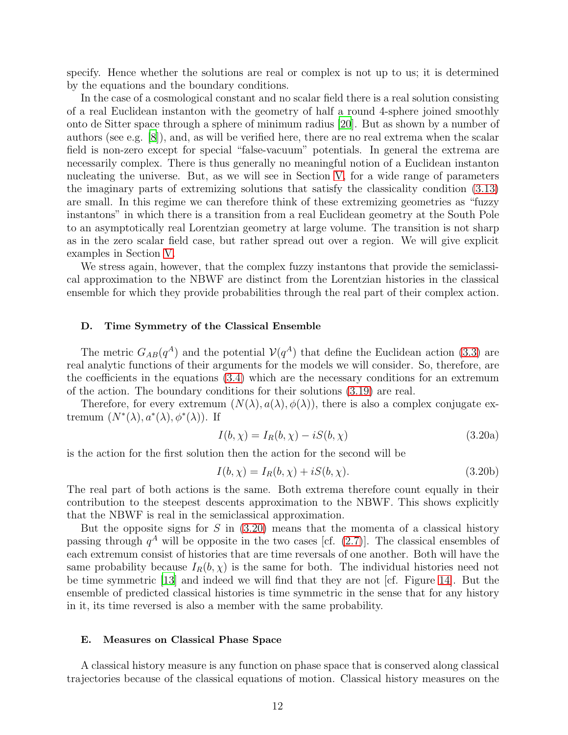specify. Hence whether the solutions are real or complex is not up to us; it is determined by the equations and the boundary conditions.

In the case of a cosmological constant and no scalar field there is a real solution consisting of a real Euclidean instanton with the geometry of half a round 4-sphere joined smoothly onto de Sitter space through a sphere of minimum radius [\[20\]](#page-45-8). But as shown by a number of authors (see e.g. [\[8](#page-44-1)]), and, as will be verified here, there are no real extrema when the scalar field is non-zero except for special "false-vacuum" potentials. In general the extrema are necessarily complex. There is thus generally no meaningful notion of a Euclidean instanton nucleating the universe. But, as we will see in Section [V,](#page-16-0) for a wide range of parameters the imaginary parts of extremizing solutions that satisfy the classicality condition [\(3.13\)](#page-8-3) are small. In this regime we can therefore think of these extremizing geometries as "fuzzy instantons" in which there is a transition from a real Euclidean geometry at the South Pole to an asymptotically real Lorentzian geometry at large volume. The transition is not sharp as in the zero scalar field case, but rather spread out over a region. We will give explicit examples in Section [V.](#page-16-0)

We stress again, however, that the complex fuzzy instantons that provide the semiclassical approximation to the NBWF are distinct from the Lorentzian histories in the classical ensemble for which they provide probabilities through the real part of their complex action.

## <span id="page-11-0"></span>D. Time Symmetry of the Classical Ensemble

The metric  $G_{AB}(q^A)$  and the potential  $V(q^A)$  that define the Euclidean action [\(3.3\)](#page-7-2) are real analytic functions of their arguments for the models we will consider. So, therefore, are the coefficients in the equations [\(3.4\)](#page-7-1) which are the necessary conditions for an extremum of the action. The boundary conditions for their solutions [\(3.19\)](#page-10-2) are real.

Therefore, for every extremum  $(N(\lambda), a(\lambda), \phi(\lambda))$ , there is also a complex conjugate extremum  $(N^*(\lambda), a^*(\lambda), \phi^*(\lambda))$ . If

<span id="page-11-4"></span><span id="page-11-3"></span>
$$
I(b, \chi) = I_R(b, \chi) - iS(b, \chi)
$$
\n(3.20a)

is the action for the first solution then the action for the second will be

<span id="page-11-2"></span>
$$
I(b, \chi) = I_R(b, \chi) + iS(b, \chi).
$$
 (3.20b)

The real part of both actions is the same. Both extrema therefore count equally in their contribution to the steepest descents approximation to the NBWF. This shows explicitly that the NBWF is real in the semiclassical approximation.

But the opposite signs for  $S$  in  $(3.20)$  means that the momenta of a classical history passing through  $q^A$  will be opposite in the two cases [cf.  $(2.7)$ ]. The classical ensembles of each extremum consist of histories that are time reversals of one another. Both will have the same probability because  $I_R(b, \chi)$  is the same for both. The individual histories need not be time symmetric [\[13\]](#page-45-1) and indeed we will find that they are not [cf. Figure [14\]](#page-30-0). But the ensemble of predicted classical histories is time symmetric in the sense that for any history in it, its time reversed is also a member with the same probability.

### <span id="page-11-1"></span>E. Measures on Classical Phase Space

A classical history measure is any function on phase space that is conserved along classical trajectories because of the classical equations of motion. Classical history measures on the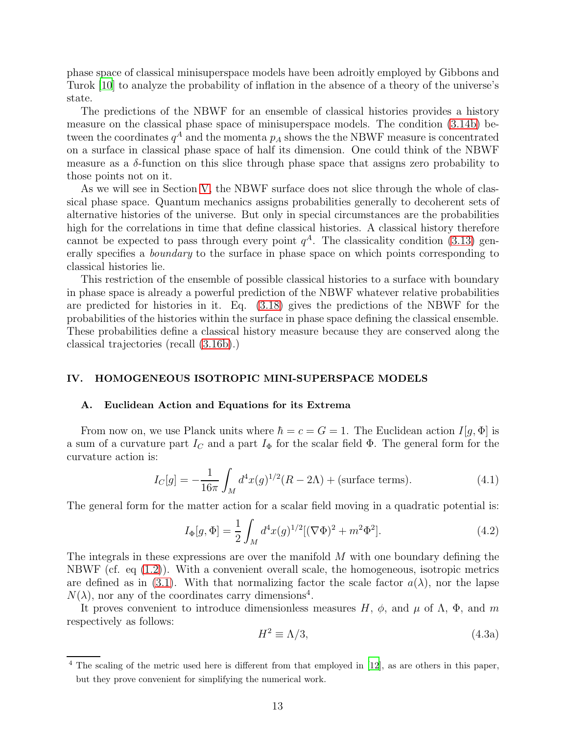phase space of classical minisuperspace models have been adroitly employed by Gibbons and Turok [\[10](#page-44-3)] to analyze the probability of inflation in the absence of a theory of the universe's state.

The predictions of the NBWF for an ensemble of classical histories provides a history measure on the classical phase space of minisuperspace models. The condition [\(3.14b\)](#page-11-2) between the coordinates  $q^A$  and the momenta  $p_A$  shows the the NBWF measure is concentrated on a surface in classical phase space of half its dimension. One could think of the NBWF measure as a  $\delta$ -function on this slice through phase space that assigns zero probability to those points not on it.

As we will see in Section [V,](#page-16-0) the NBWF surface does not slice through the whole of classical phase space. Quantum mechanics assigns probabilities generally to decoherent sets of alternative histories of the universe. But only in special circumstances are the probabilities high for the correlations in time that define classical histories. A classical history therefore cannot be expected to pass through every point  $q^A$ . The classicality condition [\(3.13\)](#page-8-3) generally specifies a *boundary* to the surface in phase space on which points corresponding to classical histories lie.

This restriction of the ensemble of possible classical histories to a surface with boundary in phase space is already a powerful prediction of the NBWF whatever relative probabilities are predicted for histories in it. Eq. [\(3.18\)](#page-10-1) gives the predictions of the NBWF for the probabilities of the histories within the surface in phase space defining the classical ensemble. These probabilities define a classical history measure because they are conserved along the classical trajectories (recall [\(3.16b\)](#page-11-2).)

## <span id="page-12-0"></span>IV. HOMOGENEOUS ISOTROPIC MINI-SUPERSPACE MODELS

#### <span id="page-12-1"></span>A. Euclidean Action and Equations for its Extrema

From now on, we use Planck units where  $\hbar = c = G = 1$ . The Euclidean action  $I[q, \Phi]$  is a sum of a curvature part  $I_C$  and a part  $I_{\Phi}$  for the scalar field  $\Phi$ . The general form for the curvature action is:

$$
I_C[g] = -\frac{1}{16\pi} \int_M d^4x (g)^{1/2} (R - 2\Lambda) + \text{(surface terms)}.
$$
 (4.1)

The general form for the matter action for a scalar field moving in a quadratic potential is:

$$
I_{\Phi}[g,\Phi] = \frac{1}{2} \int_{M} d^{4}x(g)^{1/2} [(\nabla \Phi)^{2} + m^{2} \Phi^{2}]. \tag{4.2}
$$

The integrals in these expressions are over the manifold  $M$  with one boundary defining the NBWF (cf. eq [\(1.2\)](#page-2-1)). With a convenient overall scale, the homogeneous, isotropic metrics are defined as in [\(3.1\)](#page-11-3). With that normalizing factor the scale factor  $a(\lambda)$ , nor the lapse  $N(\lambda)$ , nor any of the coordinates carry dimensions<sup>4</sup>.

It proves convenient to introduce dimensionless measures H,  $\phi$ , and  $\mu$  of  $\Lambda$ ,  $\Phi$ , and m respectively as follows:

$$
H^2 \equiv \Lambda/3,\tag{4.3a}
$$

<sup>&</sup>lt;sup>4</sup> The scaling of the metric used here is different from that employed in [\[12\]](#page-45-0), as are others in this paper, but they prove convenient for simplifying the numerical work.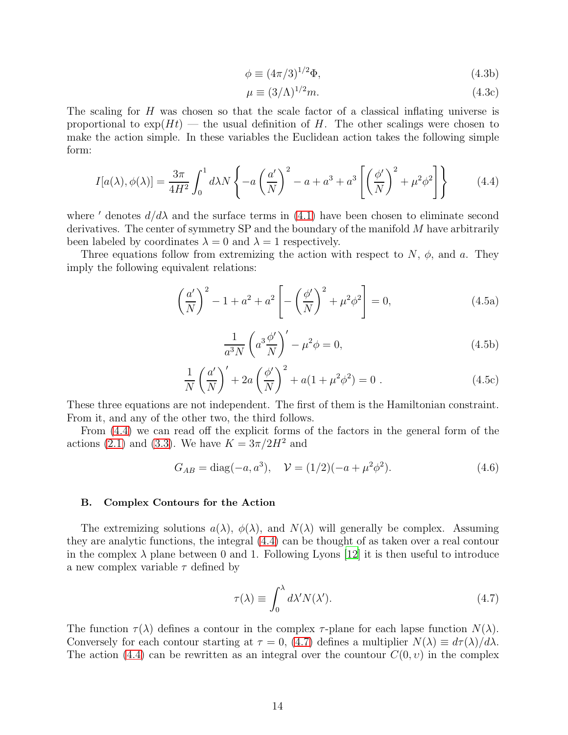$$
\phi \equiv (4\pi/3)^{1/2}\Phi,\tag{4.3b}
$$

$$
\mu \equiv (3/\Lambda)^{1/2} m. \tag{4.3c}
$$

The scaling for H was chosen so that the scale factor of a classical inflating universe is proportional to  $\exp(Ht)$  — the usual definition of H. The other scalings were chosen to make the action simple. In these variables the Euclidean action takes the following simple form:

<span id="page-13-1"></span>
$$
I[a(\lambda), \phi(\lambda)] = \frac{3\pi}{4H^2} \int_0^1 d\lambda N \left\{ -a\left(\frac{a'}{N}\right)^2 - a + a^3 + a^3 \left[ \left(\frac{\phi'}{N}\right)^2 + \mu^2 \phi^2 \right] \right\} \tag{4.4}
$$

where ' denotes  $d/d\lambda$  and the surface terms in [\(4.1\)](#page-15-1) have been chosen to eliminate second derivatives. The center of symmetry SP and the boundary of the manifold M have arbitrarily been labeled by coordinates  $\lambda = 0$  and  $\lambda = 1$  respectively.

Three equations follow from extremizing the action with respect to  $N$ ,  $\phi$ , and a. They imply the following equivalent relations:

$$
\left(\frac{a'}{N}\right)^2 - 1 + a^2 + a^2 \left[ -\left(\frac{\phi'}{N}\right)^2 + \mu^2 \phi^2 \right] = 0,
$$
\n(4.5a)

<span id="page-13-3"></span>
$$
\frac{1}{a^3 N} \left( a^3 \frac{\phi'}{N} \right)' - \mu^2 \phi = 0, \qquad (4.5b)
$$

$$
\frac{1}{N} \left( \frac{a'}{N} \right)' + 2a \left( \frac{\phi'}{N} \right)^2 + a(1 + \mu^2 \phi^2) = 0 \tag{4.5c}
$$

These three equations are not independent. The first of them is the Hamiltonian constraint. From it, and any of the other two, the third follows.

From [\(4.4\)](#page-13-1) we can read off the explicit forms of the factors in the general form of the actions [\(2.1\)](#page-4-1) and [\(3.3\)](#page-7-2). We have  $K = 3\pi/2H^2$  and

$$
G_{AB} = \text{diag}(-a, a^3), \quad \mathcal{V} = (1/2)(-a + \mu^2 \phi^2). \tag{4.6}
$$

### <span id="page-13-0"></span>B. Complex Contours for the Action

The extremizing solutions  $a(\lambda)$ ,  $\phi(\lambda)$ , and  $N(\lambda)$  will generally be complex. Assuming they are analytic functions, the integral [\(4.4\)](#page-13-1) can be thought of as taken over a real contour in the complex  $\lambda$  plane between 0 and 1. Following Lyons [\[12\]](#page-45-0) it is then useful to introduce a new complex variable  $\tau$  defined by

<span id="page-13-2"></span>
$$
\tau(\lambda) \equiv \int_0^{\lambda} d\lambda' N(\lambda'). \tag{4.7}
$$

The function  $\tau(\lambda)$  defines a contour in the complex  $\tau$ -plane for each lapse function  $N(\lambda)$ . Conversely for each contour starting at  $\tau = 0$ , [\(4.7\)](#page-13-2) defines a multiplier  $N(\lambda) \equiv d\tau(\lambda)/d\lambda$ . The action [\(4.4\)](#page-13-1) can be rewritten as an integral over the countour  $C(0, v)$  in the complex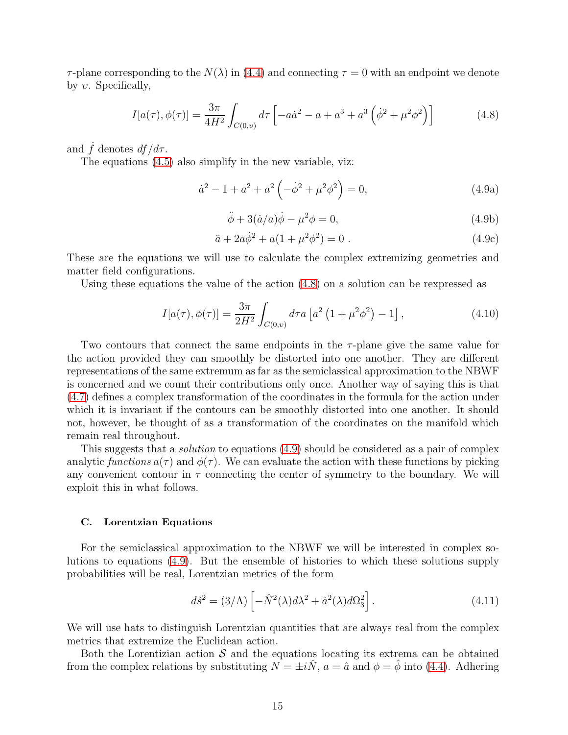$\tau$ -plane corresponding to the  $N(\lambda)$  in [\(4.4\)](#page-13-1) and connecting  $\tau = 0$  with an endpoint we denote by  $v$ . Specifically,

<span id="page-14-1"></span>
$$
I[a(\tau), \phi(\tau)] = \frac{3\pi}{4H^2} \int_{C(0,\nu)} d\tau \left[ -a\dot{a}^2 - a + a^3 + a^3 \left( \dot{\phi}^2 + \mu^2 \phi^2 \right) \right]
$$
(4.8)

and f denotes  $df/d\tau$ .

The equations [\(4.5\)](#page-13-3) also simplify in the new variable, viz:

$$
\dot{a}^2 - 1 + a^2 + a^2 \left( -\dot{\phi}^2 + \mu^2 \phi^2 \right) = 0,
$$
\n(4.9a)

<span id="page-14-2"></span>
$$
\ddot{\phi} + 3(\dot{a}/a)\dot{\phi} - \mu^2 \phi = 0, \qquad (4.9b)
$$

$$
\ddot{a} + 2a\dot{\phi}^2 + a(1 + \mu^2 \phi^2) = 0.
$$
 (4.9c)

These are the equations we will use to calculate the complex extremizing geometries and matter field configurations.

Using these equations the value of the action [\(4.8\)](#page-14-1) on a solution can be rexpressed as

<span id="page-14-3"></span>
$$
I[a(\tau), \phi(\tau)] = \frac{3\pi}{2H^2} \int_{C(0,\nu)} d\tau a \left[ a^2 \left( 1 + \mu^2 \phi^2 \right) - 1 \right],
$$
\n(4.10)

Two contours that connect the same endpoints in the  $\tau$ -plane give the same value for the action provided they can smoothly be distorted into one another. They are different representations of the same extremum as far as the semiclassical approximation to the NBWF is concerned and we count their contributions only once. Another way of saying this is that [\(4.7\)](#page-13-2) defines a complex transformation of the coordinates in the formula for the action under which it is invariant if the contours can be smoothly distorted into one another. It should not, however, be thought of as a transformation of the coordinates on the manifold which remain real throughout.

This suggests that a *solution* to equations [\(4.9\)](#page-14-2) should be considered as a pair of complex analytic *functions*  $a(\tau)$  and  $\phi(\tau)$ . We can evaluate the action with these functions by picking any convenient contour in  $\tau$  connecting the center of symmetry to the boundary. We will exploit this in what follows.

#### <span id="page-14-0"></span>C. Lorentzian Equations

For the semiclassical approximation to the NBWF we will be interested in complex solutions to equations [\(4.9\)](#page-14-2). But the ensemble of histories to which these solutions supply probabilities will be real, Lorentzian metrics of the form

$$
d\hat{s}^2 = (3/\Lambda) \left[ -\hat{N}^2(\lambda)d\lambda^2 + \hat{a}^2(\lambda)d\Omega_3^2 \right].
$$
 (4.11)

We will use hats to distinguish Lorentzian quantities that are always real from the complex metrics that extremize the Euclidean action.

Both the Lorentizian action  $S$  and the equations locating its extrema can be obtained from the complex relations by substituting  $N = \pm i\hat{N}$ ,  $a = \hat{a}$  and  $\phi = \hat{\phi}$  into [\(4.4\)](#page-13-1). Adhering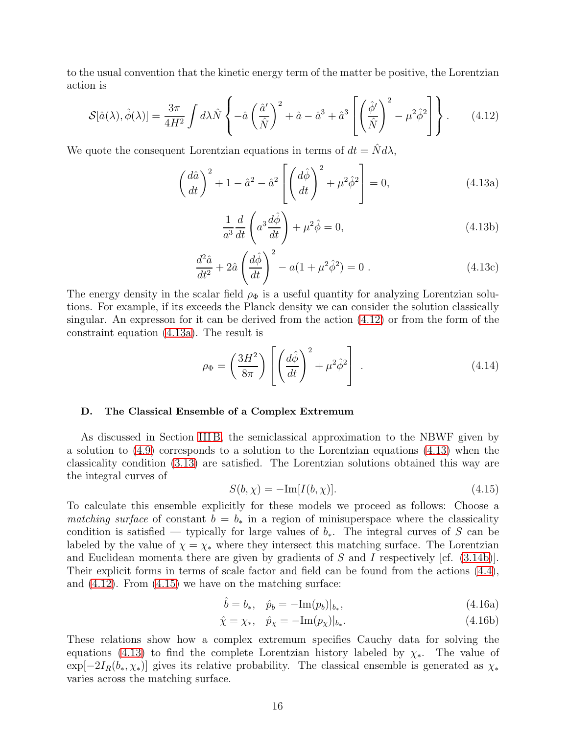to the usual convention that the kinetic energy term of the matter be positive, the Lorentzian action is

<span id="page-15-2"></span>
$$
\mathcal{S}[\hat{a}(\lambda), \hat{\phi}(\lambda)] = \frac{3\pi}{4H^2} \int d\lambda \hat{N} \left\{ -\hat{a} \left( \frac{\hat{a}'}{\hat{N}} \right)^2 + \hat{a} - \hat{a}^3 + \hat{a}^3 \left[ \left( \frac{\hat{\phi}'}{\hat{N}} \right)^2 - \mu^2 \hat{\phi}^2 \right] \right\}.
$$
 (4.12)

We quote the consequent Lorentzian equations in terms of  $dt = \hat{N} d\lambda$ ,

$$
\left(\frac{d\hat{a}}{dt}\right)^2 + 1 - \hat{a}^2 - \hat{a}^2 \left[ \left(\frac{d\hat{\phi}}{dt}\right)^2 + \mu^2 \hat{\phi}^2 \right] = 0,
$$
\n(4.13a)

<span id="page-15-3"></span>
$$
\frac{1}{a^3} \frac{d}{dt} \left( a^3 \frac{d\hat{\phi}}{dt} \right) + \mu^2 \hat{\phi} = 0,
$$
\n(4.13b)

$$
\frac{d^2\hat{a}}{dt^2} + 2\hat{a}\left(\frac{d\hat{\phi}}{dt}\right)^2 - a(1 + \mu^2\hat{\phi}^2) = 0.
$$
 (4.13c)

The energy density in the scalar field  $\rho_{\Phi}$  is a useful quantity for analyzing Lorentzian solutions. For example, if its exceeds the Planck density we can consider the solution classically singular. An expresson for it can be derived from the action [\(4.12\)](#page-15-2) or from the form of the constraint equation [\(4.13a\)](#page-15-1). The result is

<span id="page-15-5"></span>
$$
\rho_{\Phi} = \left(\frac{3H^2}{8\pi}\right) \left[ \left(\frac{d\hat{\phi}}{dt}\right)^2 + \mu^2 \hat{\phi}^2 \right] \,. \tag{4.14}
$$

### <span id="page-15-0"></span>D. The Classical Ensemble of a Complex Extremum

As discussed in Section [III B,](#page-8-0) the semiclassical approximation to the NBWF given by a solution to [\(4.9\)](#page-14-2) corresponds to a solution to the Lorentzian equations [\(4.13\)](#page-15-3) when the classicality condition [\(3.13\)](#page-8-3) are satisfied. The Lorentzian solutions obtained this way are the integral curves of

<span id="page-15-4"></span>
$$
S(b, \chi) = -\text{Im}[I(b, \chi)].
$$
\n(4.15)

To calculate this ensemble explicitly for these models we proceed as follows: Choose a *matching surface* of constant  $b = b_*$  in a region of minisuperspace where the classicality condition is satisfied — typically for large values of  $b_*$ . The integral curves of S can be labeled by the value of  $\chi = \chi_*$  where they intersect this matching surface. The Lorentzian and Euclidean momenta there are given by gradients of S and I respectively [cf.  $(3.14b)$ ]. Their explicit forms in terms of scale factor and field can be found from the actions [\(4.4\)](#page-13-1), and [\(4.12\)](#page-15-2). From [\(4.15\)](#page-15-4) we have on the matching surface:

<span id="page-15-7"></span><span id="page-15-6"></span><span id="page-15-1"></span>
$$
\hat{b} = b_*, \quad \hat{p}_b = -\text{Im}(p_b)|_{b_*},\tag{4.16a}
$$

$$
\hat{\chi} = \chi_*, \quad \hat{p}_\chi = -\text{Im}(p_\chi)|_{b_*}.\tag{4.16b}
$$

These relations show how a complex extremum specifies Cauchy data for solving the equations [\(4.13\)](#page-15-3) to find the complete Lorentzian history labeled by  $\chi_*$ . The value of  $\exp[-2I_R(b_*,\chi_*)]$  gives its relative probability. The classical ensemble is generated as  $\chi_*$ varies across the matching surface.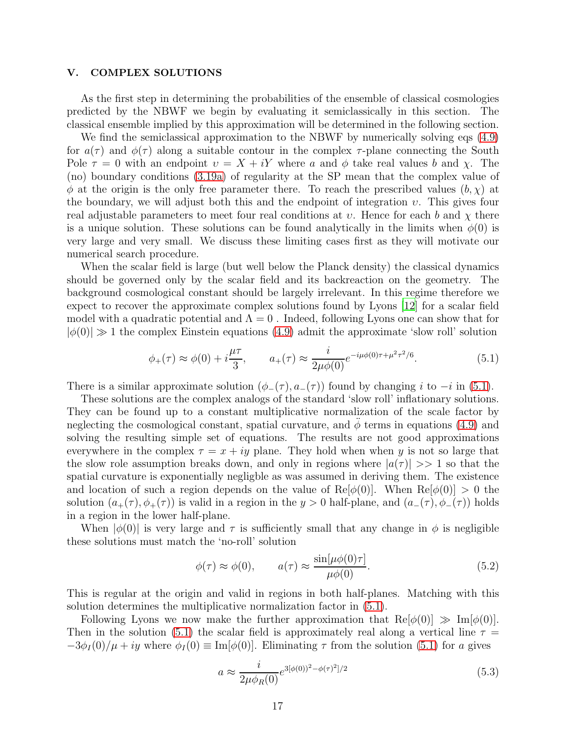## <span id="page-16-0"></span>V. COMPLEX SOLUTIONS

As the first step in determining the probabilities of the ensemble of classical cosmologies predicted by the NBWF we begin by evaluating it semiclassically in this section. The classical ensemble implied by this approximation will be determined in the following section.

We find the semiclassical approximation to the NBWF by numerically solving eqs [\(4.9\)](#page-14-2) for  $a(\tau)$  and  $\phi(\tau)$  along a suitable contour in the complex  $\tau$ -plane connecting the South Pole  $\tau = 0$  with an endpoint  $v = X + iY$  where a and  $\phi$  take real values b and  $\chi$ . The (no) boundary conditions [\(3.19a\)](#page-11-3) of regularity at the SP mean that the complex value of  $\phi$  at the origin is the only free parameter there. To reach the prescribed values  $(b, \chi)$  at the boundary, we will adjust both this and the endpoint of integration  $v$ . This gives four real adjustable parameters to meet four real conditions at v. Hence for each b and  $\chi$  there is a unique solution. These solutions can be found analytically in the limits when  $\phi(0)$  is very large and very small. We discuss these limiting cases first as they will motivate our numerical search procedure.

When the scalar field is large (but well below the Planck density) the classical dynamics should be governed only by the scalar field and its backreaction on the geometry. The background cosmological constant should be largely irrelevant. In this regime therefore we expect to recover the approximate complex solutions found by Lyons [\[12](#page-45-0)] for a scalar field model with a quadratic potential and  $\Lambda = 0$ . Indeed, following Lyons one can show that for  $|\phi(0)| \gg 1$  the complex Einstein equations [\(4.9\)](#page-14-2) admit the approximate 'slow roll' solution

$$
\phi_{+}(\tau) \approx \phi(0) + i\frac{\mu\tau}{3}, \qquad a_{+}(\tau) \approx \frac{i}{2\mu\phi(0)} e^{-i\mu\phi(0)\tau + \mu^{2}\tau^{2}/6}.
$$
 (5.1)

There is a similar approximate solution  $(\phi_-(\tau), a_-(\tau))$  found by changing i to  $-i$  in [\(5.1\)](#page-17-0).

These solutions are the complex analogs of the standard 'slow roll' inflationary solutions. They can be found up to a constant multiplicative normalization of the scale factor by neglecting the cosmological constant, spatial curvature, and  $\phi$  terms in equations [\(4.9\)](#page-14-2) and solving the resulting simple set of equations. The results are not good approximations everywhere in the complex  $\tau = x + iy$  plane. They hold when when y is not so large that the slow role assumption breaks down, and only in regions where  $|a(\tau)| >> 1$  so that the spatial curvature is exponentially negligble as was assumed in deriving them. The existence and location of such a region depends on the value of  $\text{Re}[\phi(0)]$ . When  $\text{Re}[\phi(0)] > 0$  the solution  $(a_{+}(\tau), \phi_{+}(\tau))$  is valid in a region in the  $y > 0$  half-plane, and  $(a_{-}(\tau), \phi_{-}(\tau))$  holds in a region in the lower half-plane.

When  $|\phi(0)|$  is very large and  $\tau$  is sufficiently small that any change in  $\phi$  is negligible these solutions must match the 'no-roll' solution

$$
\phi(\tau) \approx \phi(0), \qquad a(\tau) \approx \frac{\sin[\mu \phi(0)\tau]}{\mu \phi(0)}.
$$
\n(5.2)

This is regular at the origin and valid in regions in both half-planes. Matching with this solution determines the multiplicative normalization factor in [\(5.1\)](#page-17-0).

Following Lyons we now make the further approximation that  $\text{Re}|\phi(0)| \gg \text{Im}|\phi(0)|$ . Then in the solution [\(5.1\)](#page-17-0) the scalar field is approximately real along a vertical line  $\tau =$  $-3\phi_I(0)/\mu + iy$  where  $\phi_I(0) \equiv \text{Im}[\phi(0)]$ . Eliminating  $\tau$  from the solution [\(5.1\)](#page-17-0) for a gives

$$
a \approx \frac{i}{2\mu\phi_R(0)} e^{3[\phi(0))^2 - \phi(\tau)^2]/2}
$$
\n(5.3)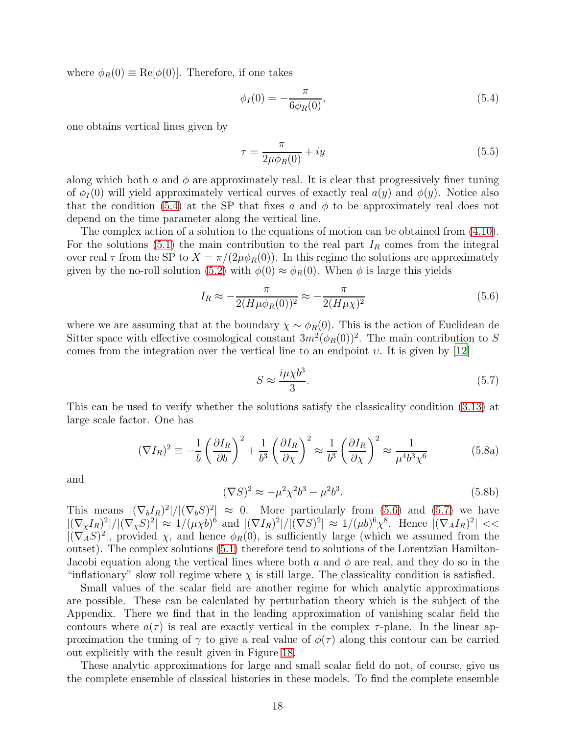where  $\phi_R(0) \equiv \text{Re}[\phi(0)]$ . Therefore, if one takes

<span id="page-17-1"></span>
$$
\phi_I(0) = -\frac{\pi}{6\phi_R(0)},\tag{5.4}
$$

one obtains vertical lines given by

<span id="page-17-5"></span>
$$
\tau = \frac{\pi}{2\mu\phi_R(0)} + iy \tag{5.5}
$$

along which both a and  $\phi$  are approximately real. It is clear that progressively finer tuning of  $\phi_I(0)$  will yield approximately vertical curves of exactly real  $a(y)$  and  $\phi(y)$ . Notice also that the condition [\(5.4\)](#page-17-1) at the SP that fixes a and  $\phi$  to be approximately real does not depend on the time parameter along the vertical line.

The complex action of a solution to the equations of motion can be obtained from [\(4.10\)](#page-14-3). For the solutions [\(5.1\)](#page-17-0) the main contribution to the real part  $I_R$  comes from the integral over real  $\tau$  from the SP to  $X = \pi/(2\mu\phi_R(0))$ . In this regime the solutions are approximately given by the no-roll solution [\(5.2\)](#page-17-2) with  $\phi(0) \approx \phi_R(0)$ . When  $\phi$  is large this yields

<span id="page-17-3"></span>
$$
I_R \approx -\frac{\pi}{2(H\mu\phi_R(0))^2} \approx -\frac{\pi}{2(H\mu\chi)^2} \tag{5.6}
$$

where we are assuming that at the boundary  $\chi \sim \phi_R(0)$ . This is the action of Euclidean de Sitter space with effective cosmological constant  $3m^2(\phi_R(0))^2$ . The main contribution to S comes from the integration over the vertical line to an endpoint  $v$ . It is given by [\[12\]](#page-45-0)

<span id="page-17-4"></span>
$$
S \approx \frac{i\mu\chi b^3}{3}.\tag{5.7}
$$

This can be used to verify whether the solutions satisfy the classicality condition [\(3.13\)](#page-8-3) at large scale factor. One has

<span id="page-17-0"></span>
$$
(\nabla I_R)^2 \equiv -\frac{1}{b} \left(\frac{\partial I_R}{\partial b}\right)^2 + \frac{1}{b^3} \left(\frac{\partial I_R}{\partial \chi}\right)^2 \approx \frac{1}{b^3} \left(\frac{\partial I_R}{\partial \chi}\right)^2 \approx \frac{1}{\mu^4 b^3 \chi^6}
$$
(5.8a)

and

<span id="page-17-2"></span>
$$
(\nabla S)^2 \approx -\mu^2 \chi^2 b^3 - \mu^2 b^3. \tag{5.8b}
$$

This means  $|(\nabla_b I_R)^2|/|(\nabla_b S)^2| \approx 0$ . More particularly from [\(5.6\)](#page-17-3) and [\(5.7\)](#page-17-4) we have  $|(\nabla_{\chi}I_R)^2|/|(\nabla_{\chi}S)^2| \approx 1/(\mu\chi b)^6$  and  $|(\nabla I_R)^2|/|(\nabla S)^2| \approx 1/(\mu b)^6 \chi^8$ . Hence  $|(\nabla_A I_R)^2| \ll$  $|(\nabla_A S)^2|$ , provided  $\chi$ , and hence  $\phi_R(0)$ , is sufficiently large (which we assumed from the outset). The complex solutions [\(5.1\)](#page-17-0) therefore tend to solutions of the Lorentzian Hamilton-Jacobi equation along the vertical lines where both a and  $\phi$  are real, and they do so in the "inflationary" slow roll regime where  $\chi$  is still large. The classicality condition is satisfied.

Small values of the scalar field are another regime for which analytic approximations are possible. These can be calculated by perturbation theory which is the subject of the Appendix. There we find that in the leading approximation of vanishing scalar field the contours where  $a(\tau)$  is real are exactly vertical in the complex  $\tau$ -plane. In the linear approximation the tuning of  $\gamma$  to give a real value of  $\phi(\tau)$  along this contour can be carried out explicitly with the result given in Figure [18.](#page-39-0)

These analytic approximations for large and small scalar field do not, of course, give us the complete ensemble of classical histories in these models. To find the complete ensemble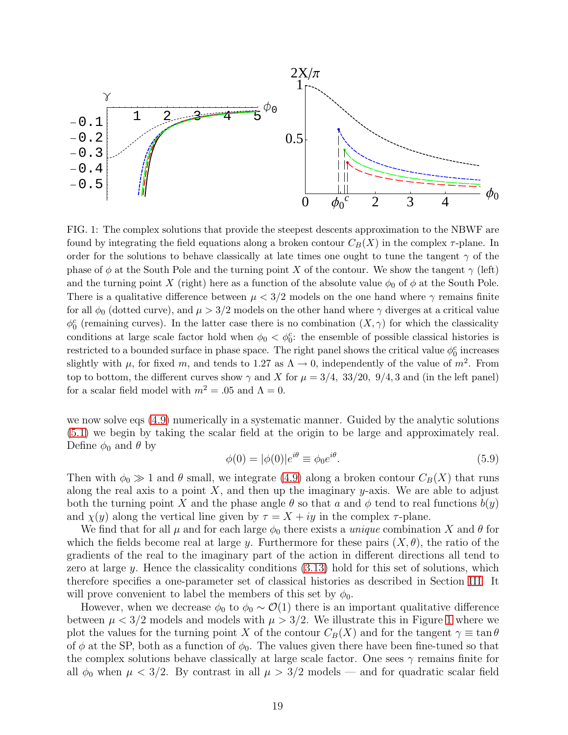

<span id="page-18-0"></span>FIG. 1: The complex solutions that provide the steepest descents approximation to the NBWF are found by integrating the field equations along a broken contour  $C_B(X)$  in the complex  $\tau$ -plane. In order for the solutions to behave classically at late times one ought to tune the tangent  $\gamma$  of the phase of  $\phi$  at the South Pole and the turning point X of the contour. We show the tangent  $\gamma$  (left) and the turning point X (right) here as a function of the absolute value  $\phi_0$  of  $\phi$  at the South Pole. There is a qualitative difference between  $\mu < 3/2$  models on the one hand where  $\gamma$  remains finite for all  $\phi_0$  (dotted curve), and  $\mu > 3/2$  models on the other hand where  $\gamma$  diverges at a critical value  $\phi_0^c$  (remaining curves). In the latter case there is no combination  $(X, \gamma)$  for which the classicality conditions at large scale factor hold when  $\phi_0 < \phi_0^c$ : the ensemble of possible classical histories is restricted to a bounded surface in phase space. The right panel shows the critical value  $\phi_0^c$  increases slightly with  $\mu$ , for fixed m, and tends to 1.27 as  $\Lambda \to 0$ , independently of the value of  $m^2$ . From top to bottom, the different curves show  $\gamma$  and X for  $\mu = 3/4$ , 33/20, 9/4, 3 and (in the left panel) for a scalar field model with  $m^2 = .05$  and  $\Lambda = 0$ .

we now solve eqs [\(4.9\)](#page-14-2) numerically in a systematic manner. Guided by the analytic solutions [\(5.1\)](#page-17-0) we begin by taking the scalar field at the origin to be large and approximately real. Define  $\phi_0$  and  $\theta$  by

$$
\phi(0) = |\phi(0)|e^{i\theta} \equiv \phi_0 e^{i\theta}.
$$
\n(5.9)

Then with  $\phi_0 \gg 1$  and  $\theta$  small, we integrate [\(4.9\)](#page-14-2) along a broken contour  $C_B(X)$  that runs along the real axis to a point  $X$ , and then up the imaginary y-axis. We are able to adjust both the turning point X and the phase angle  $\theta$  so that a and  $\phi$  tend to real functions  $b(y)$ and  $\chi(y)$  along the vertical line given by  $\tau = X + iy$  in the complex  $\tau$ -plane.

We find that for all  $\mu$  and for each large  $\phi_0$  there exists a *unique* combination X and  $\theta$  for which the fields become real at large y. Furthermore for these pairs  $(X, \theta)$ , the ratio of the gradients of the real to the imaginary part of the action in different directions all tend to zero at large y. Hence the classicality conditions [\(3.13\)](#page-8-3) hold for this set of solutions, which therefore specifies a one-parameter set of classical histories as described in Section [III.](#page-6-0) It will prove convenient to label the members of this set by  $\phi_0$ .

However, when we decrease  $\phi_0$  to  $\phi_0 \sim \mathcal{O}(1)$  there is an important qualitative difference between  $\mu < 3/2$  models and models with  $\mu > 3/2$ . We illustrate this in Figure [1](#page-18-0) where we plot the values for the turning point X of the contour  $C_B(X)$  and for the tangent  $\gamma \equiv \tan \theta$ of  $\phi$  at the SP, both as a function of  $\phi_0$ . The values given there have been fine-tuned so that the complex solutions behave classically at large scale factor. One sees  $\gamma$  remains finite for all  $\phi_0$  when  $\mu < 3/2$ . By contrast in all  $\mu > 3/2$  models — and for quadratic scalar field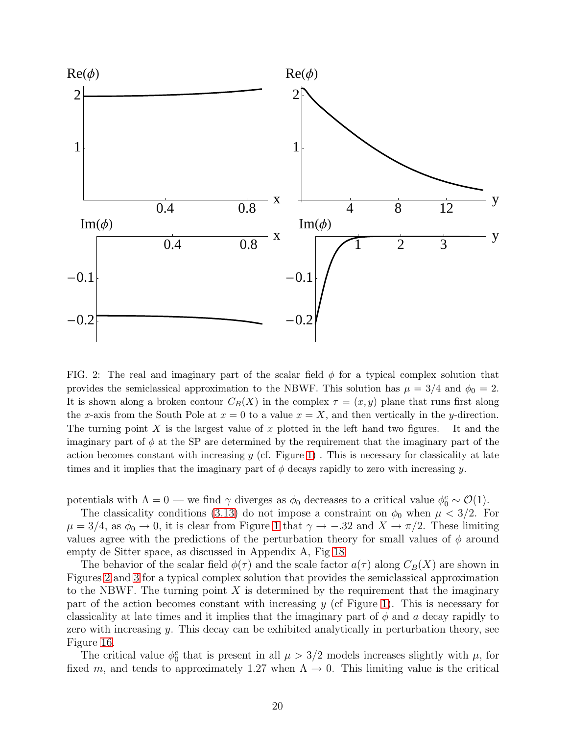

<span id="page-19-0"></span>FIG. 2: The real and imaginary part of the scalar field  $\phi$  for a typical complex solution that provides the semiclassical approximation to the NBWF. This solution has  $\mu = 3/4$  and  $\phi_0 = 2$ . It is shown along a broken contour  $C_B(X)$  in the complex  $\tau = (x, y)$  plane that runs first along the x-axis from the South Pole at  $x = 0$  to a value  $x = X$ , and then vertically in the y-direction. The turning point  $X$  is the largest value of  $x$  plotted in the left hand two figures. It and the imaginary part of  $\phi$  at the SP are determined by the requirement that the imaginary part of the action becomes constant with increasing  $y$  (cf. Figure [1\)](#page-18-0). This is necessary for classicality at late times and it implies that the imaginary part of  $\phi$  decays rapidly to zero with increasing y.

potentials with  $\Lambda = 0$  — we find  $\gamma$  diverges as  $\phi_0$  decreases to a critical value  $\phi_0^c \sim \mathcal{O}(1)$ .

The classicality conditions [\(3.13\)](#page-8-3) do not impose a constraint on  $\phi_0$  when  $\mu < 3/2$ . For  $\mu = 3/4$ , as  $\phi_0 \to 0$ , it is clear from Figure [1](#page-18-0) that  $\gamma \to -0.32$  and  $X \to \pi/2$ . These limiting values agree with the predictions of the perturbation theory for small values of  $\phi$  around empty de Sitter space, as discussed in Appendix A, Fig [18.](#page-39-0)

The behavior of the scalar field  $\phi(\tau)$  and the scale factor  $a(\tau)$  along  $C_B(X)$  are shown in Figures [2](#page-19-0) and [3](#page-20-0) for a typical complex solution that provides the semiclassical approximation to the NBWF. The turning point  $X$  is determined by the requirement that the imaginary part of the action becomes constant with increasing  $y$  (cf Figure [1\)](#page-18-0). This is necessary for classicality at late times and it implies that the imaginary part of  $\phi$  and a decay rapidly to zero with increasing y. This decay can be exhibited analytically in perturbation theory, see Figure [16.](#page-37-0)

The critical value  $\phi_0^c$  that is present in all  $\mu > 3/2$  models increases slightly with  $\mu$ , for fixed m, and tends to approximately 1.27 when  $\Lambda \to 0$ . This limiting value is the critical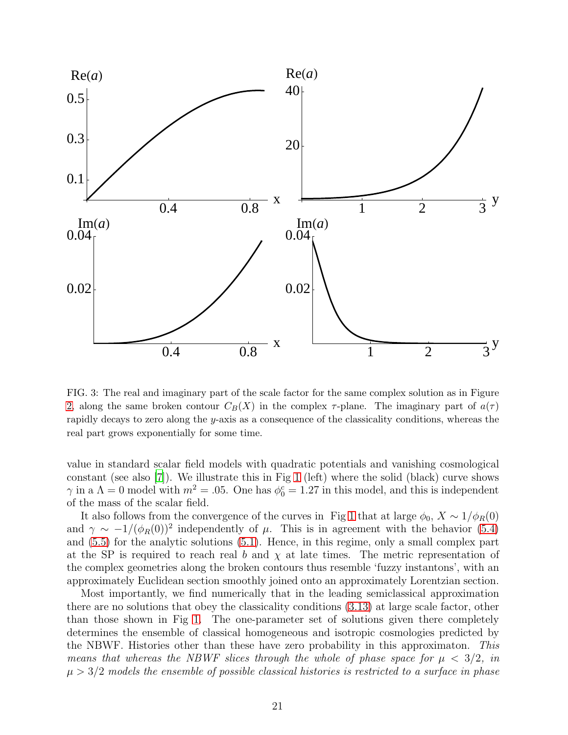

<span id="page-20-0"></span>FIG. 3: The real and imaginary part of the scale factor for the same complex solution as in Figure [2,](#page-19-0) along the same broken contour  $C_B(X)$  in the complex  $\tau$ -plane. The imaginary part of  $a(\tau)$ rapidly decays to zero along the y-axis as a consequence of the classicality conditions, whereas the real part grows exponentially for some time.

value in standard scalar field models with quadratic potentials and vanishing cosmological constant (see also [\[7\]](#page-44-0)). We illustrate this in Fig [1](#page-18-0) (left) where the solid (black) curve shows  $\gamma$  in a  $\Lambda = 0$  model with  $m^2 = .05$ . One has  $\phi_0^c = 1.27$  in this model, and this is independent of the mass of the scalar field.

It also follows from the convergence of the curves in Fig [1](#page-18-0) that at large  $\phi_0$ ,  $X \sim 1/\phi_R(0)$ and  $\gamma \sim -1/(\phi_R(0))^2$  independently of  $\mu$ . This is in agreement with the behavior [\(5.4\)](#page-17-1) and [\(5.5\)](#page-17-5) for the analytic solutions [\(5.1\)](#page-17-0). Hence, in this regime, only a small complex part at the SP is required to reach real b and  $\chi$  at late times. The metric representation of the complex geometries along the broken contours thus resemble 'fuzzy instantons', with an approximately Euclidean section smoothly joined onto an approximately Lorentzian section.

Most importantly, we find numerically that in the leading semiclassical approximation there are no solutions that obey the classicality conditions [\(3.13\)](#page-8-3) at large scale factor, other than those shown in Fig [1.](#page-18-0) The one-parameter set of solutions given there completely determines the ensemble of classical homogeneous and isotropic cosmologies predicted by the NBWF. Histories other than these have zero probability in this approximaton. *This means that whereas the NBWF slices through the whole of phase space for*  $\mu < 3/2$ , in µ > 3/2 *models the ensemble of possible classical histories is restricted to a surface in phase*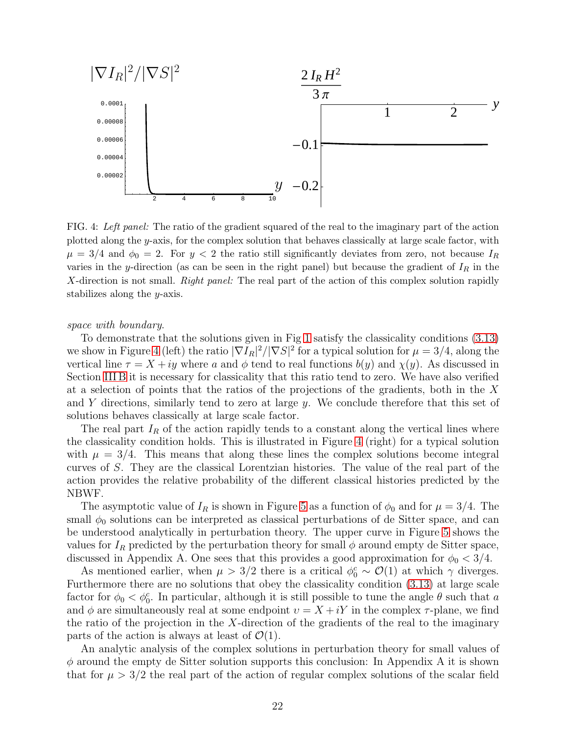

<span id="page-21-0"></span>FIG. 4: *Left panel:* The ratio of the gradient squared of the real to the imaginary part of the action plotted along the y-axis, for the complex solution that behaves classically at large scale factor, with  $\mu = 3/4$  and  $\phi_0 = 2$ . For  $y < 2$  the ratio still significantly deviates from zero, not because  $I_R$ varies in the y-direction (as can be seen in the right panel) but because the gradient of  $I_R$  in the X-direction is not small. *Right panel:* The real part of the action of this complex solution rapidly stabilizes along the y-axis.

## *space with boundary*.

To demonstrate that the solutions given in Fig [1](#page-18-0) satisfy the classicality conditions [\(3.13\)](#page-8-3) we show in Figure [4](#page-21-0) (left) the ratio  $|\nabla I_R|^2/|\nabla S|^2$  for a typical solution for  $\mu = 3/4$ , along the vertical line  $\tau = X + iy$  where a and  $\phi$  tend to real functions  $b(y)$  and  $\chi(y)$ . As discussed in Section [III B](#page-8-0) it is necessary for classicality that this ratio tend to zero. We have also verified at a selection of points that the ratios of the projections of the gradients, both in the X and Y directions, similarly tend to zero at large y. We conclude therefore that this set of solutions behaves classically at large scale factor.

The real part  $I_R$  of the action rapidly tends to a constant along the vertical lines where the classicality condition holds. This is illustrated in Figure [4](#page-21-0) (right) for a typical solution with  $\mu = 3/4$ . This means that along these lines the complex solutions become integral curves of S. They are the classical Lorentzian histories. The value of the real part of the action provides the relative probability of the different classical histories predicted by the NBWF.

The asymptotic value of  $I_R$  is shown in Figure [5](#page-22-1) as a function of  $\phi_0$  and for  $\mu = 3/4$ . The small  $\phi_0$  solutions can be interpreted as classical perturbations of de Sitter space, and can be understood analytically in perturbation theory. The upper curve in Figure [5](#page-22-1) shows the values for  $I_R$  predicted by the perturbation theory for small  $\phi$  around empty de Sitter space, discussed in Appendix A. One sees that this provides a good approximation for  $\phi_0 < 3/4$ .

As mentioned earlier, when  $\mu > 3/2$  there is a critical  $\phi_0^c \sim \mathcal{O}(1)$  at which  $\gamma$  diverges. Furthermore there are no solutions that obey the classicality condition [\(3.13\)](#page-8-3) at large scale factor for  $\phi_0 < \phi_0^c$ . In particular, although it is still possible to tune the angle  $\theta$  such that a and  $\phi$  are simultaneously real at some endpoint  $v = X + iY$  in the complex  $\tau$ -plane, we find the ratio of the projection in the  $X$ -direction of the gradients of the real to the imaginary parts of the action is always at least of  $\mathcal{O}(1)$ .

An analytic analysis of the complex solutions in perturbation theory for small values of  $\phi$  around the empty de Sitter solution supports this conclusion: In Appendix A it is shown that for  $\mu > 3/2$  the real part of the action of regular complex solutions of the scalar field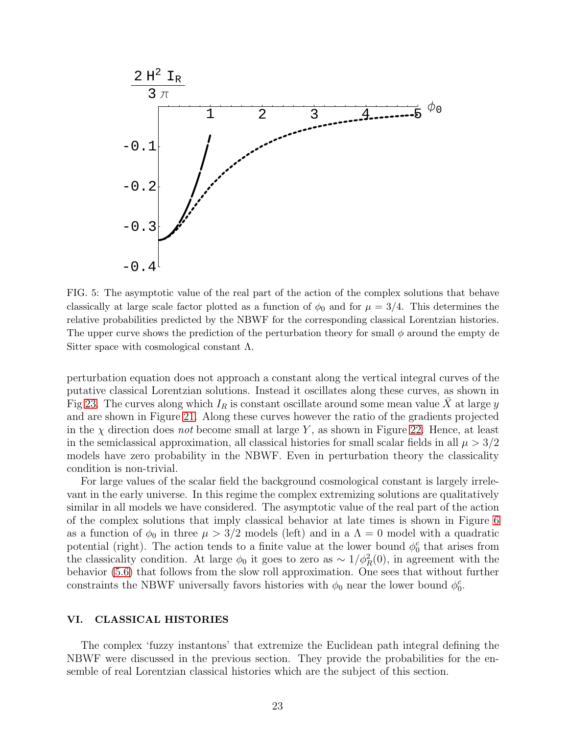

<span id="page-22-1"></span>FIG. 5: The asymptotic value of the real part of the action of the complex solutions that behave classically at large scale factor plotted as a function of  $\phi_0$  and for  $\mu = 3/4$ . This determines the relative probabilities predicted by the NBWF for the corresponding classical Lorentzian histories. The upper curve shows the prediction of the perturbation theory for small  $\phi$  around the empty de Sitter space with cosmological constant  $\Lambda$ .

perturbation equation does not approach a constant along the vertical integral curves of the putative classical Lorentzian solutions. Instead it oscillates along these curves, as shown in Fig [23.](#page-44-5) The curves along which  $I_R$  is constant oscillate around some mean value X at large y and are shown in Figure [21.](#page-42-0) Along these curves however the ratio of the gradients projected in the  $\chi$  direction does *not* become small at large Y, as shown in Figure [22.](#page-43-7) Hence, at least in the semiclassical approximation, all classical histories for small scalar fields in all  $\mu > 3/2$ models have zero probability in the NBWF. Even in perturbation theory the classicality condition is non-trivial.

For large values of the scalar field the background cosmological constant is largely irrelevant in the early universe. In this regime the complex extremizing solutions are qualitatively similar in all models we have considered. The asymptotic value of the real part of the action of the complex solutions that imply classical behavior at late times is shown in Figure [6](#page-23-1) as a function of  $\phi_0$  in three  $\mu > 3/2$  models (left) and in a  $\Lambda = 0$  model with a quadratic potential (right). The action tends to a finite value at the lower bound  $\phi_0^c$  that arises from the classicality condition. At large  $\phi_0$  it goes to zero as  $\sim 1/\phi_R^2(0)$ , in agreement with the behavior [\(5.6\)](#page-17-3) that follows from the slow roll approximation. One sees that without further constraints the NBWF universally favors histories with  $\phi_0$  near the lower bound  $\phi_0^c$ .

## <span id="page-22-0"></span>VI. CLASSICAL HISTORIES

The complex 'fuzzy instantons' that extremize the Euclidean path integral defining the NBWF were discussed in the previous section. They provide the probabilities for the ensemble of real Lorentzian classical histories which are the subject of this section.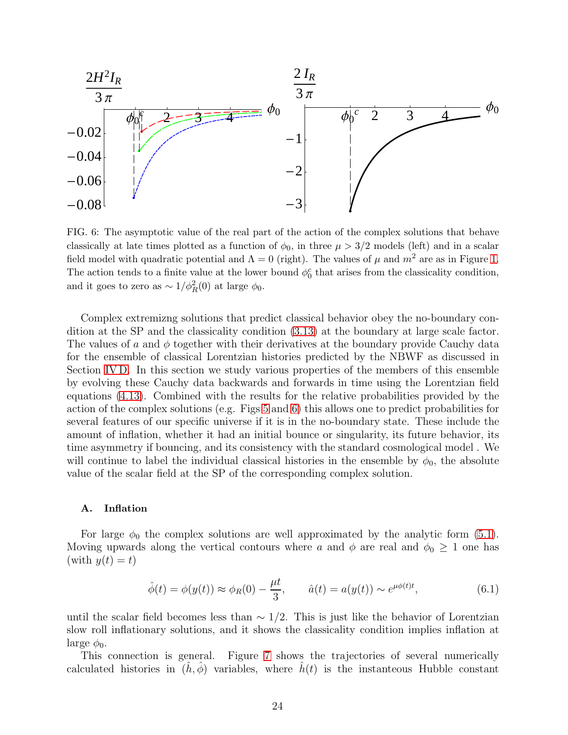

<span id="page-23-1"></span>FIG. 6: The asymptotic value of the real part of the action of the complex solutions that behave classically at late times plotted as a function of  $\phi_0$ , in three  $\mu > 3/2$  models (left) and in a scalar field model with quadratic potential and  $\Lambda = 0$  (right). The values of  $\mu$  and  $m^2$  are as in Figure [1.](#page-18-0) The action tends to a finite value at the lower bound  $\phi_0^c$  that arises from the classicality condition, and it goes to zero as  $\sim 1/\phi_R^2(0)$  at large  $\phi_0$ .

Complex extremizng solutions that predict classical behavior obey the no-boundary condition at the SP and the classicality condition [\(3.13\)](#page-8-3) at the boundary at large scale factor. The values of a and  $\phi$  together with their derivatives at the boundary provide Cauchy data for the ensemble of classical Lorentzian histories predicted by the NBWF as discussed in Section [IV D.](#page-15-0) In this section we study various properties of the members of this ensemble by evolving these Cauchy data backwards and forwards in time using the Lorentzian field equations [\(4.13\)](#page-15-3). Combined with the results for the relative probabilities provided by the action of the complex solutions (e.g. Figs [5](#page-22-1) and [6\)](#page-23-1) this allows one to predict probabilities for several features of our specific universe if it is in the no-boundary state. These include the amount of inflation, whether it had an initial bounce or singularity, its future behavior, its time asymmetry if bouncing, and its consistency with the standard cosmological model . We will continue to label the individual classical histories in the ensemble by  $\phi_0$ , the absolute value of the scalar field at the SP of the corresponding complex solution.

## <span id="page-23-0"></span>A. Inflation

For large  $\phi_0$  the complex solutions are well approximated by the analytic form [\(5.1\)](#page-17-0). Moving upwards along the vertical contours where a and  $\phi$  are real and  $\phi_0 \geq 1$  one has (with  $y(t) = t$ )

$$
\hat{\phi}(t) = \phi(y(t)) \approx \phi_R(0) - \frac{\mu t}{3}, \qquad \hat{a}(t) = a(y(t)) \sim e^{\mu \phi(t)t}, \tag{6.1}
$$

until the scalar field becomes less than  $\sim 1/2$ . This is just like the behavior of Lorentzian slow roll inflationary solutions, and it shows the classicality condition implies inflation at large  $\phi_0$ .

This connection is general. Figure [7](#page-24-0) shows the trajectories of several numerically calculated histories in  $(h, \phi)$  variables, where  $h(t)$  is the instanteous Hubble constant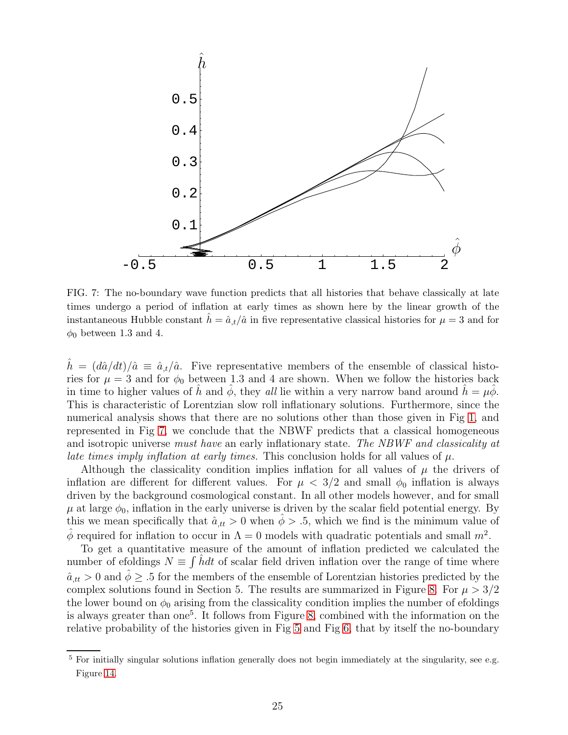

<span id="page-24-0"></span>FIG. 7: The no-boundary wave function predicts that all histories that behave classically at late times undergo a period of inflation at early times as shown here by the linear growth of the instantaneous Hubble constant  $\hat{h} = \hat{a}_{,t}/\hat{a}$  in five representative classical histories for  $\mu = 3$  and for  $\phi_0$  between 1.3 and 4.

 $\hat{h} = (d\hat{a}/dt)/\hat{a} \equiv \hat{a}_{,t}/\hat{a}$ . Five representative members of the ensemble of classical histories for  $\mu = 3$  and for  $\phi_0$  between 1.3 and 4 are shown. When we follow the histories back in time to higher values of h and  $\phi$ , they all lie within a very narrow band around  $h = \mu \phi$ . This is characteristic of Lorentzian slow roll inflationary solutions. Furthermore, since the numerical analysis shows that there are no solutions other than those given in Fig [1,](#page-18-0) and represented in Fig [7,](#page-24-0) we conclude that the NBWF predicts that a classical homogeneous and isotropic universe *must have* an early inflationary state. *The NBWF and classicality at late times imply inflation at early times.* This conclusion holds for all values of  $\mu$ .

Although the classicality condition implies inflation for all values of  $\mu$  the drivers of inflation are different for different values. For  $\mu < 3/2$  and small  $\phi_0$  inflation is always driven by the background cosmological constant. In all other models however, and for small  $\mu$  at large  $\phi_0$ , inflation in the early universe is driven by the scalar field potential energy. By this we mean specifically that  $\hat{a}_{tt} > 0$  when  $\hat{\phi} > .5$ , which we find is the minimum value of  $\hat{\phi}$  required for inflation to occur in  $\Lambda = 0$  models with quadratic potentials and small  $m^2$ .

To get a quantitative measure of the amount of inflation predicted we calculated the number of efoldings  $N \equiv \int \hat{h} dt$  of scalar field driven inflation over the range of time where  $\hat{a}_{tt} > 0$  and  $\hat{\phi} \geq 0.5$  for the members of the ensemble of Lorentzian histories predicted by the complex solutions found in Section 5. The results are summarized in Figure [8.](#page-25-1) For  $\mu > 3/2$ the lower bound on  $\phi_0$  arising from the classicality condition implies the number of efoldings is always greater than one<sup>5</sup> . It follows from Figure [8,](#page-25-1) combined with the information on the relative probability of the histories given in Fig [5](#page-22-1) and Fig [6,](#page-23-1) that by itself the no-boundary

<sup>5</sup> For initially singular solutions inflation generally does not begin immediately at the singularity, see e.g. Figure [14.](#page-30-0)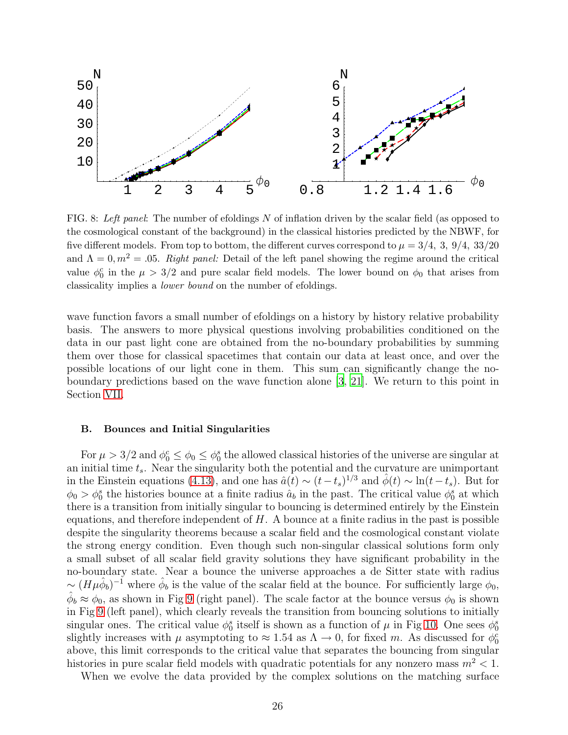

<span id="page-25-1"></span>FIG. 8: *Left panel*: The number of efoldings N of inflation driven by the scalar field (as opposed to the cosmological constant of the background) in the classical histories predicted by the NBWF, for five different models. From top to bottom, the different curves correspond to  $\mu = 3/4, 3, 9/4, 33/20$ and  $\Lambda = 0, m^2 = .05$ . *Right panel:* Detail of the left panel showing the regime around the critical value  $\phi_0^c$  in the  $\mu > 3/2$  and pure scalar field models. The lower bound on  $\phi_0$  that arises from classicality implies a *lower bound* on the number of efoldings.

wave function favors a small number of efoldings on a history by history relative probability basis. The answers to more physical questions involving probabilities conditioned on the data in our past light cone are obtained from the no-boundary probabilities by summing them over those for classical spacetimes that contain our data at least once, and over the possible locations of our light cone in them. This sum can significantly change the noboundary predictions based on the wave function alone [\[3,](#page-43-3) [21](#page-45-9)]. We return to this point in Section [VII.](#page-29-1)

## <span id="page-25-0"></span>B. Bounces and Initial Singularities

For  $\mu > 3/2$  and  $\phi_0^c \le \phi_0 \le \phi_0^s$  the allowed classical histories of the universe are singular at an initial time  $t_s$ . Near the singularity both the potential and the curvature are unimportant in the Einstein equations [\(4.13\)](#page-15-3), and one has  $\hat{a}(t) \sim (t-t_s)^{1/3}$  and  $\hat{\phi}(t) \sim \ln(t-t_s)$ . But for  $\phi_0 > \phi_0^s$  the histories bounce at a finite radius  $\hat{a}_b$  in the past. The critical value  $\phi_0^s$  at which there is a transition from initially singular to bouncing is determined entirely by the Einstein equations, and therefore independent of  $H$ . A bounce at a finite radius in the past is possible despite the singularity theorems because a scalar field and the cosmological constant violate the strong energy condition. Even though such non-singular classical solutions form only a small subset of all scalar field gravity solutions they have significant probability in the no-boundary state. Near a bounce the universe approaches a de Sitter state with radius  $\sim (H\mu\hat{\phi}_b)^{-1}$  where  $\hat{\phi}_b$  is the value of the scalar field at the bounce. For sufficiently large  $\phi_0$ ,  $\hat{\phi}_b \approx \phi_0$ , as shown in Fig [9](#page-26-0) (right panel). The scale factor at the bounce versus  $\phi_0$  is shown in Fig [9](#page-26-0) (left panel), which clearly reveals the transition from bouncing solutions to initially singular ones. The critical value  $\phi_0^s$  itself is shown as a function of  $\mu$  in Fig [10.](#page-26-1) One sees  $\phi_0^s$ slightly increases with  $\mu$  asymptoting to  $\approx 1.54$  as  $\Lambda \to 0$ , for fixed m. As discussed for  $\phi_0^c$ above, this limit corresponds to the critical value that separates the bouncing from singular histories in pure scalar field models with quadratic potentials for any nonzero mass  $m^2 < 1$ .

When we evolve the data provided by the complex solutions on the matching surface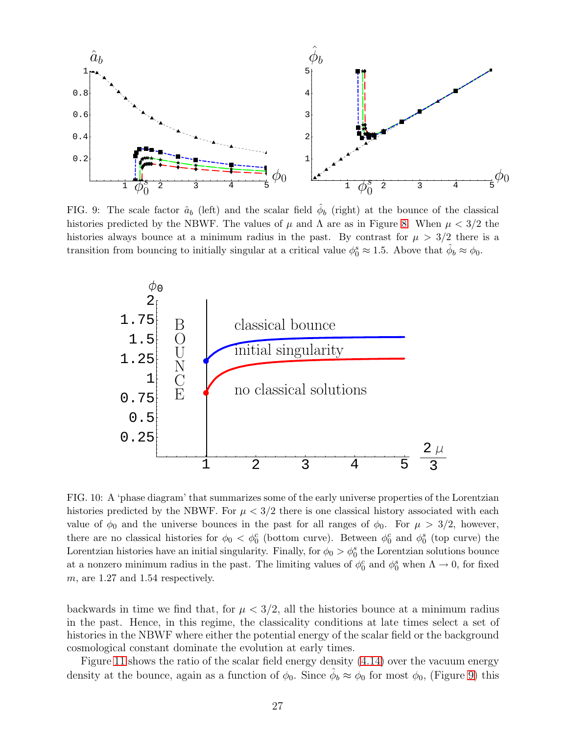

<span id="page-26-0"></span>FIG. 9: The scale factor  $\hat{a}_b$  (left) and the scalar field  $\hat{\phi}_b$  (right) at the bounce of the classical histories predicted by the NBWF. The values of  $\mu$  and  $\Lambda$  are as in Figure [8.](#page-25-1) When  $\mu < 3/2$  the histories always bounce at a minimum radius in the past. By contrast for  $\mu > 3/2$  there is a transition from bouncing to initially singular at a critical value  $\phi_0^s \approx 1.5$ . Above that  $\hat{\phi}_b \approx \phi_0$ .



<span id="page-26-1"></span>FIG. 10: A 'phase diagram' that summarizes some of the early universe properties of the Lorentzian histories predicted by the NBWF. For  $\mu < 3/2$  there is one classical history associated with each value of  $\phi_0$  and the universe bounces in the past for all ranges of  $\phi_0$ . For  $\mu > 3/2$ , however, there are no classical histories for  $\phi_0 < \phi_0^c$  (bottom curve). Between  $\phi_0^c$  and  $\phi_0^s$  (top curve) the Lorentzian histories have an initial singularity. Finally, for  $\phi_0 > \phi_0^s$  the Lorentzian solutions bounce at a nonzero minimum radius in the past. The limiting values of  $\phi_0^c$  and  $\phi_0^s$  when  $\Lambda \to 0$ , for fixed  $m$ , are 1.27 and 1.54 respectively.

backwards in time we find that, for  $\mu < 3/2$ , all the histories bounce at a minimum radius in the past. Hence, in this regime, the classicality conditions at late times select a set of histories in the NBWF where either the potential energy of the scalar field or the background cosmological constant dominate the evolution at early times.

Figure [11](#page-27-0) shows the ratio of the scalar field energy density [\(4.14\)](#page-15-5) over the vacuum energy density at the bounce, again as a function of  $\phi_0$ . Since  $\hat{\phi}_b \approx \phi_0$  for most  $\phi_0$ , (Figure [9\)](#page-26-0) this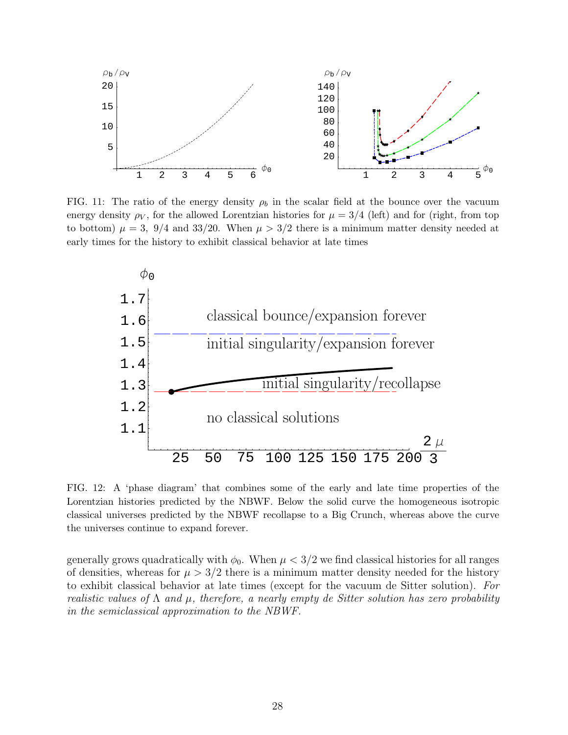

<span id="page-27-0"></span>FIG. 11: The ratio of the energy density  $\rho_b$  in the scalar field at the bounce over the vacuum energy density  $\rho_V$ , for the allowed Lorentzian histories for  $\mu = 3/4$  (left) and for (right, from top to bottom)  $\mu = 3$ , 9/4 and 33/20. When  $\mu > 3/2$  there is a minimum matter density needed at early times for the history to exhibit classical behavior at late times



<span id="page-27-1"></span>FIG. 12: A 'phase diagram' that combines some of the early and late time properties of the Lorentzian histories predicted by the NBWF. Below the solid curve the homogeneous isotropic classical universes predicted by the NBWF recollapse to a Big Crunch, whereas above the curve the universes continue to expand forever.

generally grows quadratically with  $\phi_0$ . When  $\mu < 3/2$  we find classical histories for all ranges of densities, whereas for  $\mu > 3/2$  there is a minimum matter density needed for the history to exhibit classical behavior at late times (except for the vacuum de Sitter solution). *For realistic values of* Λ *and* µ*, therefore, a nearly empty de Sitter solution has zero probability in the semiclassical approximation to the NBWF.*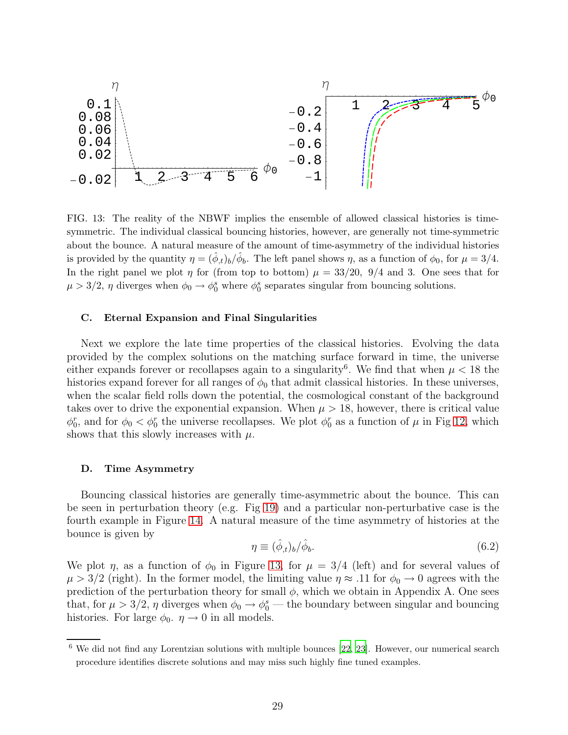$$
\begin{array}{c}\n\begin{array}{c}\n\begin{array}{c}\n0.1 \\
0.08 \\
0.06 \\
0.04 \\
0.02 \\
-0.02\n\end{array}\n\end{array}
$$

<span id="page-28-2"></span>FIG. 13: The reality of the NBWF implies the ensemble of allowed classical histories is timesymmetric. The individual classical bouncing histories, however, are generally not time-symmetric about the bounce. A natural measure of the amount of time-asymmetry of the individual histories is provided by the quantity  $\eta = (\hat{\phi}_{,t})_b/\hat{\phi}_b$ . The left panel shows  $\eta$ , as a function of  $\phi_0$ , for  $\mu = 3/4$ . In the right panel we plot  $\eta$  for (from top to bottom)  $\mu = 33/20$ , 9/4 and 3. One sees that for  $\mu > 3/2$ ,  $\eta$  diverges when  $\phi_0 \to \phi_0^s$  where  $\phi_0^s$  separates singular from bouncing solutions.

#### <span id="page-28-0"></span>C. Eternal Expansion and Final Singularities

Next we explore the late time properties of the classical histories. Evolving the data provided by the complex solutions on the matching surface forward in time, the universe either expands forever or recollapses again to a singularity<sup>6</sup>. We find that when  $\mu < 18$  the histories expand forever for all ranges of  $\phi_0$  that admit classical histories. In these universes, when the scalar field rolls down the potential, the cosmological constant of the background takes over to drive the exponential expansion. When  $\mu > 18$ , however, there is critical value  $\phi_0^r$ , and for  $\phi_0 < \phi_0^r$  the universe recollapses. We plot  $\phi_0^r$  as a function of  $\mu$  in Fig [12,](#page-27-1) which shows that this slowly increases with  $\mu$ .

## <span id="page-28-1"></span>D. Time Asymmetry

Bouncing classical histories are generally time-asymmetric about the bounce. This can be seen in perturbation theory (e.g. Fig [19\)](#page-39-1) and a particular non-perturbative case is the fourth example in Figure [14.](#page-30-0) A natural measure of the time asymmetry of histories at the bounce is given by

<span id="page-28-3"></span>
$$
\eta \equiv (\hat{\phi}_{,t})_b / \hat{\phi}_b. \tag{6.2}
$$

We plot  $\eta$ , as a function of  $\phi_0$  in Figure [13,](#page-28-2) for  $\mu = 3/4$  (left) and for several values of  $\mu > 3/2$  (right). In the former model, the limiting value  $\eta \approx .11$  for  $\phi_0 \rightarrow 0$  agrees with the prediction of the perturbation theory for small  $\phi$ , which we obtain in Appendix A. One sees that, for  $\mu > 3/2$ ,  $\eta$  diverges when  $\phi_0 \to \phi_0^s$  — the boundary between singular and bouncing histories. For large  $\phi_0$ .  $\eta \rightarrow 0$  in all models.

 $6$  We did not find any Lorentzian solutions with multiple bounces [\[22,](#page-45-10) [23](#page-45-11)]. However, our numerical search procedure identifies discrete solutions and may miss such highly fine tuned examples.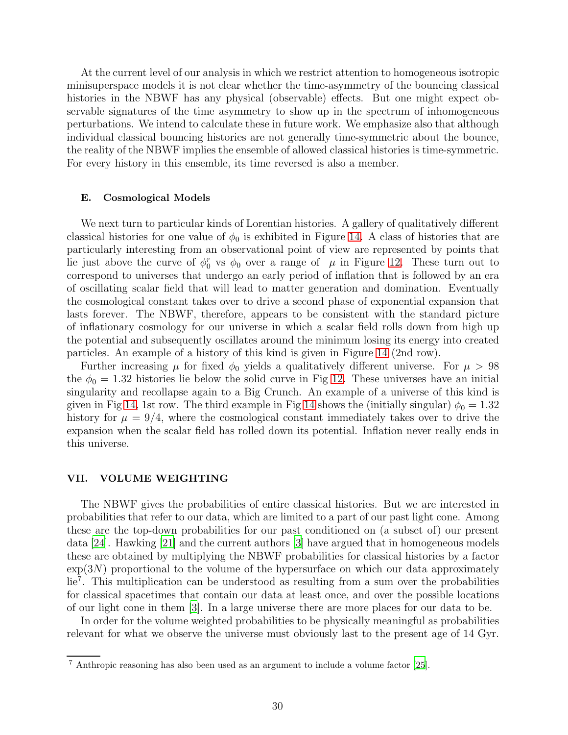At the current level of our analysis in which we restrict attention to homogeneous isotropic minisuperspace models it is not clear whether the time-asymmetry of the bouncing classical histories in the NBWF has any physical (observable) effects. But one might expect observable signatures of the time asymmetry to show up in the spectrum of inhomogeneous perturbations. We intend to calculate these in future work. We emphasize also that although individual classical bouncing histories are not generally time-symmetric about the bounce, the reality of the NBWF implies the ensemble of allowed classical histories is time-symmetric. For every history in this ensemble, its time reversed is also a member.

#### <span id="page-29-0"></span>E. Cosmological Models

We next turn to particular kinds of Lorentian histories. A gallery of qualitatively different classical histories for one value of  $\phi_0$  is exhibited in Figure [14.](#page-30-0) A class of histories that are particularly interesting from an observational point of view are represented by points that lie just above the curve of  $\phi_0^r$  vs  $\phi_0$  over a range of  $\mu$  in Figure [12.](#page-27-1) These turn out to correspond to universes that undergo an early period of inflation that is followed by an era of oscillating scalar field that will lead to matter generation and domination. Eventually the cosmological constant takes over to drive a second phase of exponential expansion that lasts forever. The NBWF, therefore, appears to be consistent with the standard picture of inflationary cosmology for our universe in which a scalar field rolls down from high up the potential and subsequently oscillates around the minimum losing its energy into created particles. An example of a history of this kind is given in Figure [14](#page-30-0) (2nd row).

Further increasing  $\mu$  for fixed  $\phi_0$  yields a qualitatively different universe. For  $\mu > 98$ the  $\phi_0 = 1.32$  histories lie below the solid curve in Fig [12.](#page-27-1) These universes have an initial singularity and recollapse again to a Big Crunch. An example of a universe of this kind is given in Fig [14,](#page-30-0) 1st row. The third example in Fig [14](#page-30-0) shows the (initially singular)  $\phi_0 = 1.32$ history for  $\mu = 9/4$ , where the cosmological constant immediately takes over to drive the expansion when the scalar field has rolled down its potential. Inflation never really ends in this universe.

#### <span id="page-29-1"></span>VII. VOLUME WEIGHTING

The NBWF gives the probabilities of entire classical histories. But we are interested in probabilities that refer to our data, which are limited to a part of our past light cone. Among these are the top-down probabilities for our past conditioned on (a subset of) our present data [\[24\]](#page-45-12). Hawking [\[21\]](#page-45-9) and the current authors [\[3\]](#page-43-3) have argued that in homogeneous models these are obtained by multiplying the NBWF probabilities for classical histories by a factor  $\exp(3N)$  proportional to the volume of the hypersurface on which our data approximately lie<sup>7</sup> . This multiplication can be understood as resulting from a sum over the probabilities for classical spacetimes that contain our data at least once, and over the possible locations of our light cone in them [\[3\]](#page-43-3). In a large universe there are more places for our data to be.

In order for the volume weighted probabilities to be physically meaningful as probabilities relevant for what we observe the universe must obviously last to the present age of 14 Gyr.

<sup>7</sup> Anthropic reasoning has also been used as an argument to include a volume factor [\[25\]](#page-45-13).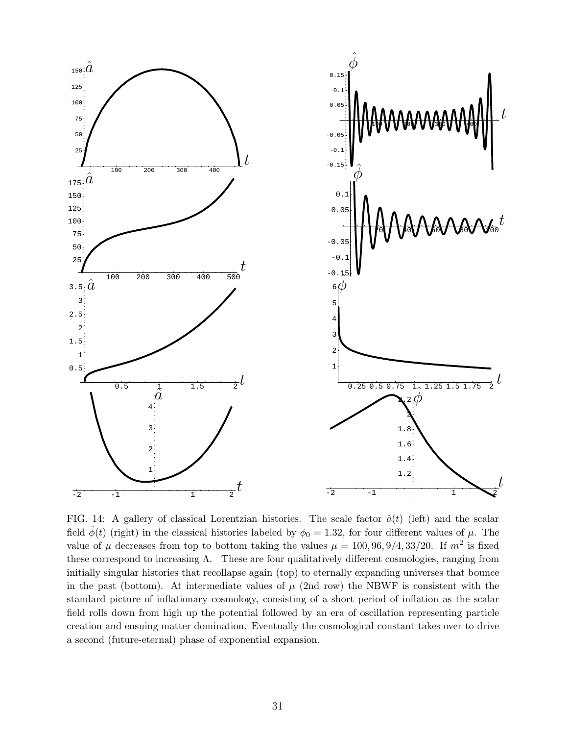

<span id="page-30-0"></span>FIG. 14: A gallery of classical Lorentzian histories. The scale factor  $\hat{a}(t)$  (left) and the scalar field  $\phi(t)$  (right) in the classical histories labeled by  $\phi_0 = 1.32$ , for four different values of  $\mu$ . The value of  $\mu$  decreases from top to bottom taking the values  $\mu = 100, 96, 9/4, 33/20$ . If  $m^2$  is fixed these correspond to increasing  $\Lambda$ . These are four qualitatively different cosmologies, ranging from initially singular histories that recollapse again (top) to eternally expanding universes that bounce in the past (bottom). At intermediate values of  $\mu$  (2nd row) the NBWF is consistent with the standard picture of inflationary cosmology, consisting of a short period of inflation as the scalar field rolls down from high up the potential followed by an era of oscillation representing particle creation and ensuing matter domination. Eventually the cosmological constant takes over to drive a second (future-eternal) phase of exponential expansion.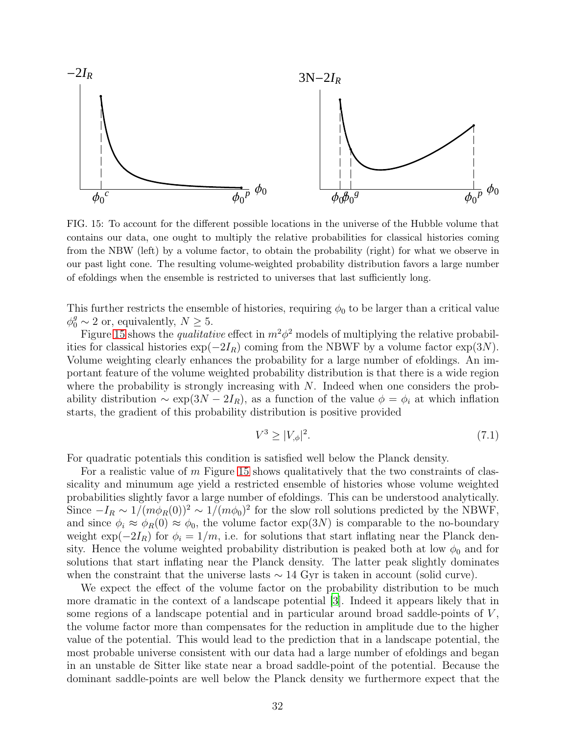

<span id="page-31-0"></span>FIG. 15: To account for the different possible locations in the universe of the Hubble volume that contains our data, one ought to multiply the relative probabilities for classical histories coming from the NBW (left) by a volume factor, to obtain the probability (right) for what we observe in our past light cone. The resulting volume-weighted probability distribution favors a large number of efoldings when the ensemble is restricted to universes that last sufficiently long.

This further restricts the ensemble of histories, requiring  $\phi_0$  to be larger than a critical value  $\phi_0^g \sim 2$  or, equivalently,  $N \geq 5$ .

Figure [15](#page-31-0) shows the *qualitative* effect in  $m^2\phi^2$  models of multiplying the relative probabilities for classical histories  $\exp(-2I_R)$  coming from the NBWF by a volume factor  $\exp(3N)$ . Volume weighting clearly enhances the probability for a large number of efoldings. An important feature of the volume weighted probability distribution is that there is a wide region where the probability is strongly increasing with  $N$ . Indeed when one considers the probability distribution  $\sim \exp(3N - 2I_R)$ , as a function of the value  $\phi = \phi_i$  at which inflation starts, the gradient of this probability distribution is positive provided

$$
V^3 \ge |V_{,\phi}|^2. \tag{7.1}
$$

For quadratic potentials this condition is satisfied well below the Planck density.

For a realistic value of  $m$  Figure [15](#page-31-0) shows qualitatively that the two constraints of classicality and minumum age yield a restricted ensemble of histories whose volume weighted probabilities slightly favor a large number of efoldings. This can be understood analytically. Since  $-I_R \sim 1/(m\phi_R(0))^2 \sim 1/(m\phi_0)^2$  for the slow roll solutions predicted by the NBWF, and since  $\phi_i \approx \phi_R(0) \approx \phi_0$ , the volume factor  $\exp(3N)$  is comparable to the no-boundary weight  $\exp(-2I_R)$  for  $\phi_i = 1/m$ , i.e. for solutions that start inflating near the Planck density. Hence the volume weighted probability distribution is peaked both at low  $\phi_0$  and for solutions that start inflating near the Planck density. The latter peak slightly dominates when the constraint that the universe lasts  $\sim 14$  Gyr is taken in account (solid curve).

We expect the effect of the volume factor on the probability distribution to be much more dramatic in the context of a landscape potential [\[3\]](#page-43-3). Indeed it appears likely that in some regions of a landscape potential and in particular around broad saddle-points of  $V$ , the volume factor more than compensates for the reduction in amplitude due to the higher value of the potential. This would lead to the prediction that in a landscape potential, the most probable universe consistent with our data had a large number of efoldings and began in an unstable de Sitter like state near a broad saddle-point of the potential. Because the dominant saddle-points are well below the Planck density we furthermore expect that the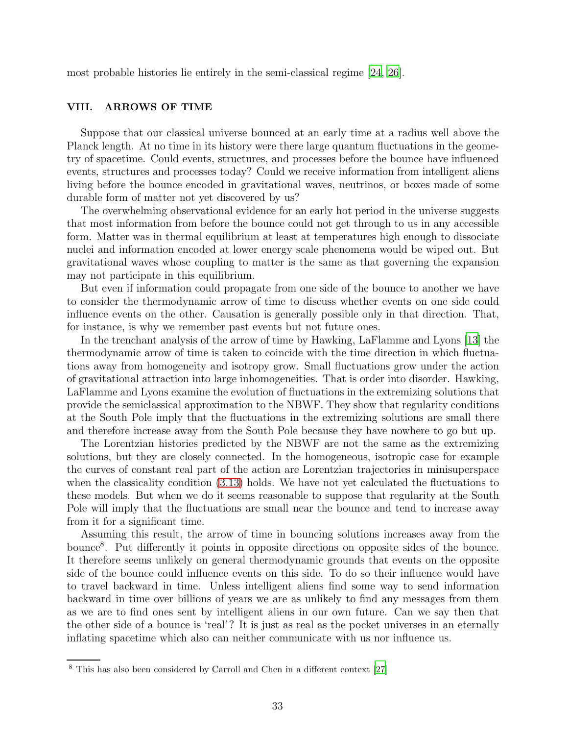most probable histories lie entirely in the semi-classical regime [\[24](#page-45-12), [26](#page-45-14)].

## <span id="page-32-0"></span>VIII. ARROWS OF TIME

Suppose that our classical universe bounced at an early time at a radius well above the Planck length. At no time in its history were there large quantum fluctuations in the geometry of spacetime. Could events, structures, and processes before the bounce have influenced events, structures and processes today? Could we receive information from intelligent aliens living before the bounce encoded in gravitational waves, neutrinos, or boxes made of some durable form of matter not yet discovered by us?

The overwhelming observational evidence for an early hot period in the universe suggests that most information from before the bounce could not get through to us in any accessible form. Matter was in thermal equilibrium at least at temperatures high enough to dissociate nuclei and information encoded at lower energy scale phenomena would be wiped out. But gravitational waves whose coupling to matter is the same as that governing the expansion may not participate in this equilibrium.

But even if information could propagate from one side of the bounce to another we have to consider the thermodynamic arrow of time to discuss whether events on one side could influence events on the other. Causation is generally possible only in that direction. That, for instance, is why we remember past events but not future ones.

In the trenchant analysis of the arrow of time by Hawking, LaFlamme and Lyons [\[13](#page-45-1)] the thermodynamic arrow of time is taken to coincide with the time direction in which fluctuations away from homogeneity and isotropy grow. Small fluctuations grow under the action of gravitational attraction into large inhomogeneities. That is order into disorder. Hawking, LaFlamme and Lyons examine the evolution of fluctuations in the extremizing solutions that provide the semiclassical approximation to the NBWF. They show that regularity conditions at the South Pole imply that the fluctuations in the extremizing solutions are small there and therefore increase away from the South Pole because they have nowhere to go but up.

The Lorentzian histories predicted by the NBWF are not the same as the extremizing solutions, but they are closely connected. In the homogeneous, isotropic case for example the curves of constant real part of the action are Lorentzian trajectories in minisuperspace when the classicality condition [\(3.13\)](#page-8-3) holds. We have not yet calculated the fluctuations to these models. But when we do it seems reasonable to suppose that regularity at the South Pole will imply that the fluctuations are small near the bounce and tend to increase away from it for a significant time.

Assuming this result, the arrow of time in bouncing solutions increases away from the bounce<sup>8</sup>. Put differently it points in opposite directions on opposite sides of the bounce. It therefore seems unlikely on general thermodynamic grounds that events on the opposite side of the bounce could influence events on this side. To do so their influence would have to travel backward in time. Unless intelligent aliens find some way to send information backward in time over billions of years we are as unlikely to find any messages from them as we are to find ones sent by intelligent aliens in our own future. Can we say then that the other side of a bounce is 'real'? It is just as real as the pocket universes in an eternally inflating spacetime which also can neither communicate with us nor influence us.

 $^8$  This has also been considered by Carroll and Chen in a different context  $\left[ 27\right]$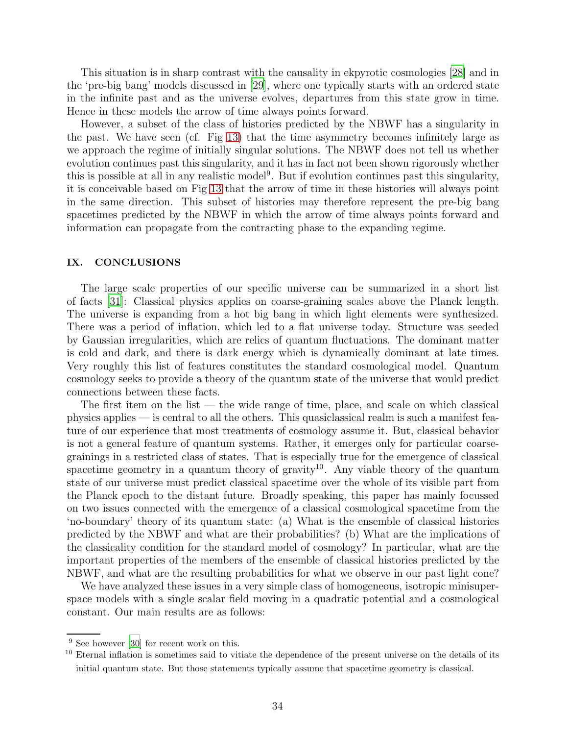This situation is in sharp contrast with the causality in ekpyrotic cosmologies [\[28](#page-45-16)] and in the 'pre-big bang' models discussed in [\[29](#page-45-17)], where one typically starts with an ordered state in the infinite past and as the universe evolves, departures from this state grow in time. Hence in these models the arrow of time always points forward.

However, a subset of the class of histories predicted by the NBWF has a singularity in the past. We have seen (cf. Fig [13\)](#page-28-2) that the time asymmetry becomes infinitely large as we approach the regime of initially singular solutions. The NBWF does not tell us whether evolution continues past this singularity, and it has in fact not been shown rigorously whether this is possible at all in any realistic model<sup>9</sup>. But if evolution continues past this singularity, it is conceivable based on Fig [13](#page-28-2) that the arrow of time in these histories will always point in the same direction. This subset of histories may therefore represent the pre-big bang spacetimes predicted by the NBWF in which the arrow of time always points forward and information can propagate from the contracting phase to the expanding regime.

## <span id="page-33-0"></span>IX. CONCLUSIONS

The large scale properties of our specific universe can be summarized in a short list of facts [\[31](#page-45-18)]: Classical physics applies on coarse-graining scales above the Planck length. The universe is expanding from a hot big bang in which light elements were synthesized. There was a period of inflation, which led to a flat universe today. Structure was seeded by Gaussian irregularities, which are relics of quantum fluctuations. The dominant matter is cold and dark, and there is dark energy which is dynamically dominant at late times. Very roughly this list of features constitutes the standard cosmological model. Quantum cosmology seeks to provide a theory of the quantum state of the universe that would predict connections between these facts.

The first item on the list — the wide range of time, place, and scale on which classical physics applies — is central to all the others. This quasiclassical realm is such a manifest feature of our experience that most treatments of cosmology assume it. But, classical behavior is not a general feature of quantum systems. Rather, it emerges only for particular coarsegrainings in a restricted class of states. That is especially true for the emergence of classical spacetime geometry in a quantum theory of gravity<sup>10</sup>. Any viable theory of the quantum state of our universe must predict classical spacetime over the whole of its visible part from the Planck epoch to the distant future. Broadly speaking, this paper has mainly focussed on two issues connected with the emergence of a classical cosmological spacetime from the 'no-boundary' theory of its quantum state: (a) What is the ensemble of classical histories predicted by the NBWF and what are their probabilities? (b) What are the implications of the classicality condition for the standard model of cosmology? In particular, what are the important properties of the members of the ensemble of classical histories predicted by the NBWF, and what are the resulting probabilities for what we observe in our past light cone?

We have analyzed these issues in a very simple class of homogeneous, isotropic minisuperspace models with a single scalar field moving in a quadratic potential and a cosmological constant. Our main results are as follows:

<sup>&</sup>lt;sup>9</sup> See however [\[30\]](#page-45-19) for recent work on this.

<sup>&</sup>lt;sup>10</sup> Eternal inflation is sometimes said to vitiate the dependence of the present universe on the details of its initial quantum state. But those statements typically assume that spacetime geometry is classical.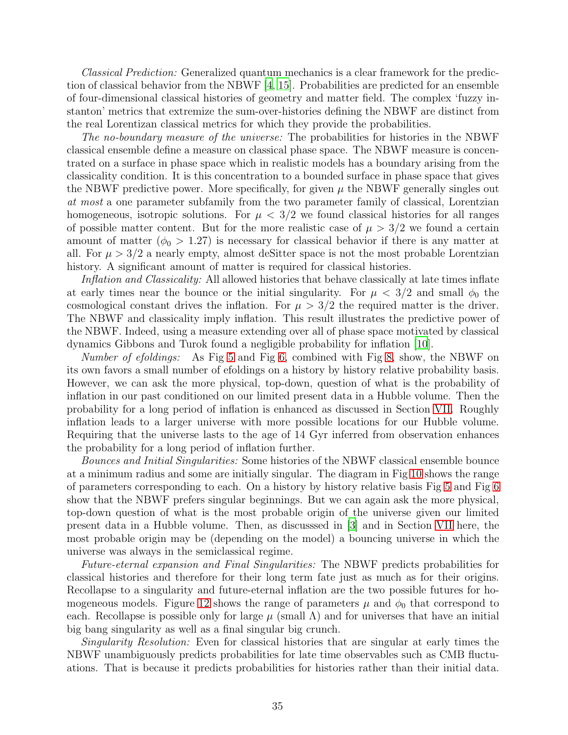*Classical Prediction:* Generalized quantum mechanics is a clear framework for the prediction of classical behavior from the NBWF [\[4,](#page-43-4) [15\]](#page-45-3). Probabilities are predicted for an ensemble of four-dimensional classical histories of geometry and matter field. The complex 'fuzzy instanton' metrics that extremize the sum-over-histories defining the NBWF are distinct from the real Lorentizan classical metrics for which they provide the probabilities.

*The no-boundary measure of the universe:* The probabilities for histories in the NBWF classical ensemble define a measure on classical phase space. The NBWF measure is concentrated on a surface in phase space which in realistic models has a boundary arising from the classicality condition. It is this concentration to a bounded surface in phase space that gives the NBWF predictive power. More specifically, for given  $\mu$  the NBWF generally singles out *at most* a one parameter subfamily from the two parameter family of classical, Lorentzian homogeneous, isotropic solutions. For  $\mu < 3/2$  we found classical histories for all ranges of possible matter content. But for the more realistic case of  $\mu > 3/2$  we found a certain amount of matter ( $\phi_0 > 1.27$ ) is necessary for classical behavior if there is any matter at all. For  $\mu > 3/2$  a nearly empty, almost deSitter space is not the most probable Lorentzian history. A significant amount of matter is required for classical histories.

*Inflation and Classicality:* All allowed histories that behave classically at late times inflate at early times near the bounce or the initial singularity. For  $\mu < 3/2$  and small  $\phi_0$  the cosmological constant drives the inflation. For  $\mu > 3/2$  the required matter is the driver. The NBWF and classicality imply inflation. This result illustrates the predictive power of the NBWF. Indeed, using a measure extending over all of phase space motivated by classical dynamics Gibbons and Turok found a negligible probability for inflation [\[10](#page-44-3)].

*Number of efoldings:* As Fig [5](#page-22-1) and Fig [6,](#page-23-1) combined with Fig [8,](#page-25-1) show, the NBWF on its own favors a small number of efoldings on a history by history relative probability basis. However, we can ask the more physical, top-down, question of what is the probability of inflation in our past conditioned on our limited present data in a Hubble volume. Then the probability for a long period of inflation is enhanced as discussed in Section [VII.](#page-29-1) Roughly inflation leads to a larger universe with more possible locations for our Hubble volume. Requiring that the universe lasts to the age of 14 Gyr inferred from observation enhances the probability for a long period of inflation further.

*Bounces and Initial Singularities:* Some histories of the NBWF classical ensemble bounce at a minimum radius and some are initially singular. The diagram in Fig [10](#page-26-1) shows the range of parameters corresponding to each. On a history by history relative basis Fig [5](#page-22-1) and Fig [6](#page-23-1) show that the NBWF prefers singular beginnings. But we can again ask the more physical, top-down question of what is the most probable origin of the universe given our limited present data in a Hubble volume. Then, as discusssed in [\[3](#page-43-3)] and in Section [VII](#page-29-1) here, the most probable origin may be (depending on the model) a bouncing universe in which the universe was always in the semiclassical regime.

*Future-eternal expansion and Final Singularities:* The NBWF predicts probabilities for classical histories and therefore for their long term fate just as much as for their origins. Recollapse to a singularity and future-eternal inflation are the two possible futures for ho-mogeneous models. Figure [12](#page-27-1) shows the range of parameters  $\mu$  and  $\phi_0$  that correspond to each. Recollapse is possible only for large  $\mu$  (small  $\Lambda$ ) and for universes that have an initial big bang singularity as well as a final singular big crunch.

*Singularity Resolution:* Even for classical histories that are singular at early times the NBWF unambiguously predicts probabilities for late time observables such as CMB fluctuations. That is because it predicts probabilities for histories rather than their initial data.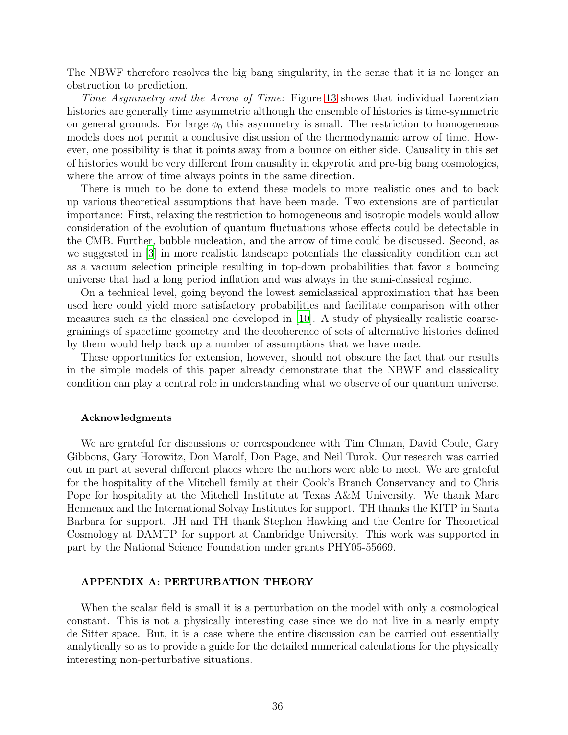The NBWF therefore resolves the big bang singularity, in the sense that it is no longer an obstruction to prediction.

*Time Asymmetry and the Arrow of Time:* Figure [13](#page-28-2) shows that individual Lorentzian histories are generally time asymmetric although the ensemble of histories is time-symmetric on general grounds. For large  $\phi_0$  this asymmetry is small. The restriction to homogeneous models does not permit a conclusive discussion of the thermodynamic arrow of time. However, one possibility is that it points away from a bounce on either side. Causality in this set of histories would be very different from causality in ekpyrotic and pre-big bang cosmologies, where the arrow of time always points in the same direction.

There is much to be done to extend these models to more realistic ones and to back up various theoretical assumptions that have been made. Two extensions are of particular importance: First, relaxing the restriction to homogeneous and isotropic models would allow consideration of the evolution of quantum fluctuations whose effects could be detectable in the CMB. Further, bubble nucleation, and the arrow of time could be discussed. Second, as we suggested in [\[3\]](#page-43-3) in more realistic landscape potentials the classicality condition can act as a vacuum selection principle resulting in top-down probabilities that favor a bouncing universe that had a long period inflation and was always in the semi-classical regime.

On a technical level, going beyond the lowest semiclassical approximation that has been used here could yield more satisfactory probabilities and facilitate comparison with other measures such as the classical one developed in [\[10\]](#page-44-3). A study of physically realistic coarsegrainings of spacetime geometry and the decoherence of sets of alternative histories defined by them would help back up a number of assumptions that we have made.

These opportunities for extension, however, should not obscure the fact that our results in the simple models of this paper already demonstrate that the NBWF and classicality condition can play a central role in understanding what we observe of our quantum universe.

#### <span id="page-35-0"></span>Acknowledgments

We are grateful for discussions or correspondence with Tim Clunan, David Coule, Gary Gibbons, Gary Horowitz, Don Marolf, Don Page, and Neil Turok. Our research was carried out in part at several different places where the authors were able to meet. We are grateful for the hospitality of the Mitchell family at their Cook's Branch Conservancy and to Chris Pope for hospitality at the Mitchell Institute at Texas A&M University. We thank Marc Henneaux and the International Solvay Institutes for support. TH thanks the KITP in Santa Barbara for support. JH and TH thank Stephen Hawking and the Centre for Theoretical Cosmology at DAMTP for support at Cambridge University. This work was supported in part by the National Science Foundation under grants PHY05-55669.

## <span id="page-35-1"></span>APPENDIX A: PERTURBATION THEORY

When the scalar field is small it is a perturbation on the model with only a cosmological constant. This is not a physically interesting case since we do not live in a nearly empty de Sitter space. But, it is a case where the entire discussion can be carried out essentially analytically so as to provide a guide for the detailed numerical calculations for the physically interesting non-perturbative situations.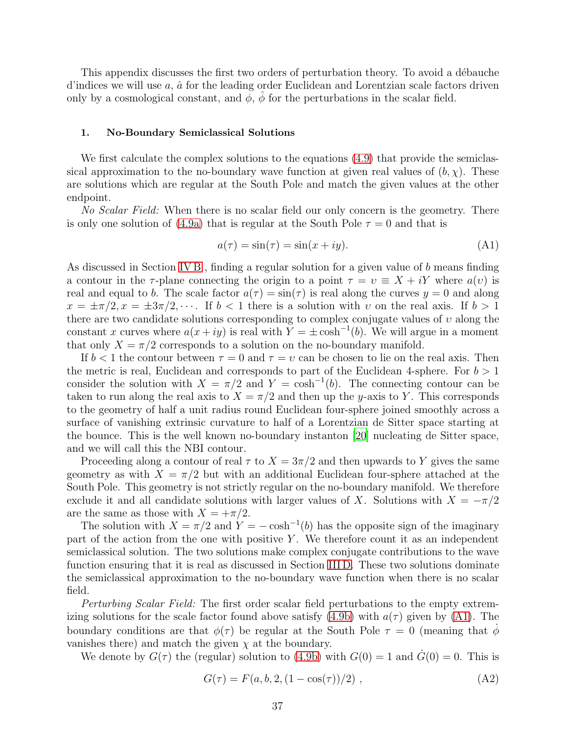This appendix discusses the first two orders of perturbation theory. To avoid a débauche d'indices we will use  $a, \hat{a}$  for the leading order Euclidean and Lorentzian scale factors driven only by a cosmological constant, and  $\phi$ ,  $\phi$  for the perturbations in the scalar field.

## <span id="page-36-0"></span>1. No-Boundary Semiclassical Solutions

We first calculate the complex solutions to the equations [\(4.9\)](#page-14-2) that provide the semiclassical approximation to the no-boundary wave function at given real values of  $(b, \chi)$ . These are solutions which are regular at the South Pole and match the given values at the other endpoint.

*No Scalar Field:* When there is no scalar field our only concern is the geometry. There is only one solution of [\(4.9a\)](#page-15-1) that is regular at the South Pole  $\tau = 0$  and that is

$$
a(\tau) = \sin(\tau) = \sin(x + iy). \tag{A1}
$$

As discussed in Section [IV B](#page-13-0), finding a regular solution for a given value of b means finding a contour in the  $\tau$ -plane connecting the origin to a point  $\tau = v \equiv X + iY$  where  $a(v)$  is real and equal to b. The scale factor  $a(\tau) = \sin(\tau)$  is real along the curves  $y = 0$  and along  $x = \pm \pi/2, x = \pm 3\pi/2, \cdots$ . If  $b < 1$  there is a solution with v on the real axis. If  $b > 1$ there are two candidate solutions corresponding to complex conjugate values of  $v$  along the constant x curves where  $a(x+iy)$  is real with  $Y = \pm \cosh^{-1}(b)$ . We will argue in a moment that only  $X = \pi/2$  corresponds to a solution on the no-boundary manifold.

If  $b < 1$  the contour between  $\tau = 0$  and  $\tau = \nu$  can be chosen to lie on the real axis. Then the metric is real, Euclidean and corresponds to part of the Euclidean 4-sphere. For  $b > 1$ consider the solution with  $X = \pi/2$  and  $Y = \cosh^{-1}(b)$ . The connecting contour can be taken to run along the real axis to  $X = \pi/2$  and then up the y-axis to Y. This corresponds to the geometry of half a unit radius round Euclidean four-sphere joined smoothly across a surface of vanishing extrinsic curvature to half of a Lorentzian de Sitter space starting at the bounce. This is the well known no-boundary instanton [\[20\]](#page-45-8) nucleating de Sitter space, and we will call this the NBI contour.

Proceeding along a contour of real  $\tau$  to  $X = 3\pi/2$  and then upwards to Y gives the same geometry as with  $X = \pi/2$  but with an additional Euclidean four-sphere attached at the South Pole. This geometry is not strictly regular on the no-boundary manifold. We therefore exclude it and all candidate solutions with larger values of X. Solutions with  $X = -\pi/2$ are the same as those with  $X = +\pi/2$ .

The solution with  $X = \pi/2$  and  $Y = -\cosh^{-1}(b)$  has the opposite sign of the imaginary part of the action from the one with positive  $Y$ . We therefore count it as an independent semiclassical solution. The two solutions make complex conjugate contributions to the wave function ensuring that it is real as discussed in Section [III](#page-11-0) D. These two solutions dominate the semiclassical approximation to the no-boundary wave function when there is no scalar field.

*Perturbing Scalar Field:* The first order scalar field perturbations to the empty extremizing solutions for the scale factor found above satisfy  $(4.9b)$  with  $a(\tau)$  given by  $(A1)$ . The boundary conditions are that  $\phi(\tau)$  be regular at the South Pole  $\tau = 0$  (meaning that  $\phi$ vanishes there) and match the given  $\chi$  at the boundary.

We denote by  $G(\tau)$  the (regular) solution to [\(4.9b\)](#page-15-6) with  $G(0) = 1$  and  $\dot{G}(0) = 0$ . This is

$$
G(\tau) = F(a, b, 2, (1 - \cos(\tau))/2) , \qquad (A2)
$$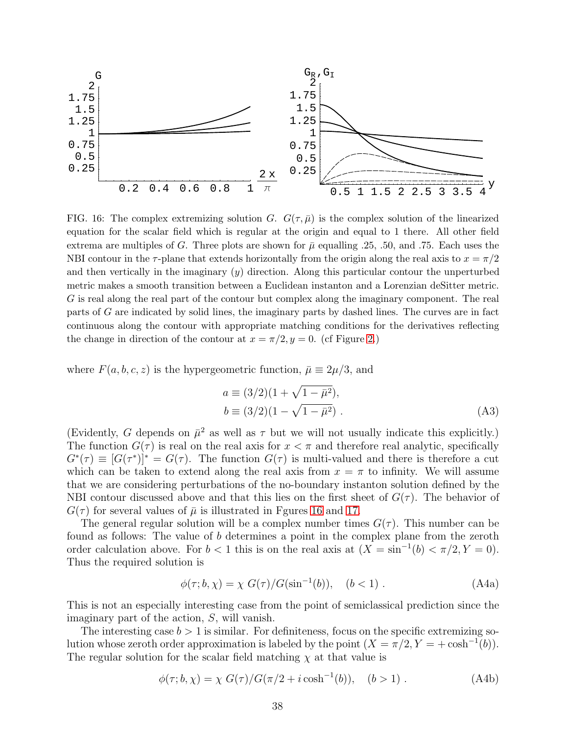

<span id="page-37-0"></span>FIG. 16: The complex extremizing solution G.  $G(\tau,\bar{\mu})$  is the complex solution of the linearized equation for the scalar field which is regular at the origin and equal to 1 there. All other field extrema are multiples of G. Three plots are shown for  $\bar{\mu}$  equalling .25, .50, and .75. Each uses the NBI contour in the  $\tau$ -plane that extends horizontally from the origin along the real axis to  $x = \pi/2$ and then vertically in the imaginary  $(y)$  direction. Along this particular contour the unperturbed metric makes a smooth transition between a Euclidean instanton and a Lorenzian deSitter metric. G is real along the real part of the contour but complex along the imaginary component. The real parts of G are indicated by solid lines, the imaginary parts by dashed lines. The curves are in fact continuous along the contour with appropriate matching conditions for the derivatives reflecting the change in direction of the contour at  $x = \pi/2, y = 0$ . (cf Figure [2.](#page-19-0))

where  $F(a, b, c, z)$  is the hypergeometric function,  $\bar{\mu} \equiv 2\mu/3$ , and

$$
a = (3/2)(1 + \sqrt{1 - \bar{\mu}^2}),
$$
  
\n
$$
b = (3/2)(1 - \sqrt{1 - \bar{\mu}^2}).
$$
\n(A3)

(Evidently, G depends on  $\bar{\mu}^2$  as well as  $\tau$  but we will not usually indicate this explicitly.) The function  $G(\tau)$  is real on the real axis for  $x < \pi$  and therefore real analytic, specifically  $G^*(\tau) \equiv [G(\tau^*)]^* = G(\tau)$ . The function  $G(\tau)$  is multi-valued and there is therefore a cut which can be taken to extend along the real axis from  $x = \pi$  to infinity. We will assume that we are considering perturbations of the no-boundary instanton solution defined by the NBI contour discussed above and that this lies on the first sheet of  $G(\tau)$ . The behavior of  $G(\tau)$  for several values of  $\bar{\mu}$  is illustrated in Fgures [16](#page-37-0) and [17.](#page-38-1)

The general regular solution will be a complex number times  $G(\tau)$ . This number can be found as follows: The value of b determines a point in the complex plane from the zeroth order calculation above. For  $b < 1$  this is on the real axis at  $(X = \sin^{-1}(b) < \pi/2, Y = 0)$ . Thus the required solution is

<span id="page-37-1"></span>
$$
\phi(\tau; b, \chi) = \chi \ G(\tau) / G(\sin^{-1}(b)), \quad (b < 1) \ . \tag{A4a}
$$

This is not an especially interesting case from the point of semiclassical prediction since the imaginary part of the action, S, will vanish.

The interesting case  $b > 1$  is similar. For definiteness, focus on the specific extremizing solution whose zeroth order approximation is labeled by the point  $(X = \pi/2, Y = +\cosh^{-1}(b)).$ The regular solution for the scalar field matching  $\chi$  at that value is

$$
\phi(\tau; b, \chi) = \chi \ G(\tau) / G(\pi/2 + i \cosh^{-1}(b)), \quad (b > 1) \ . \tag{A4b}
$$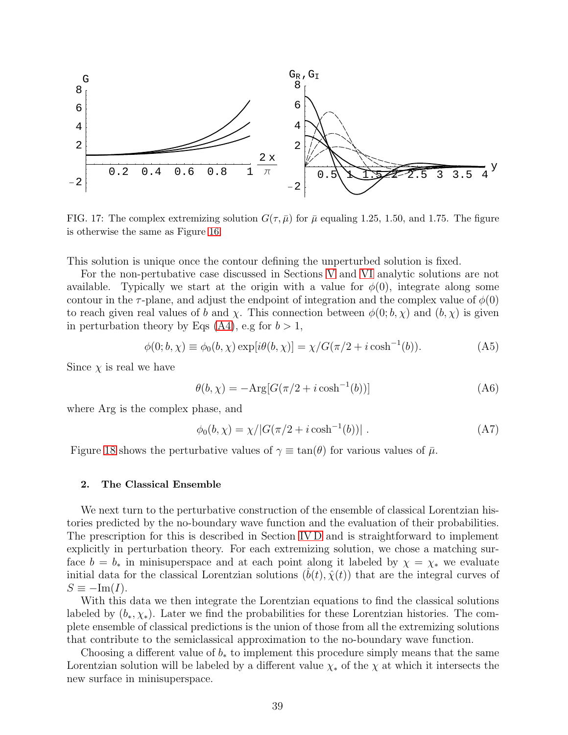

<span id="page-38-1"></span>FIG. 17: The complex extremizing solution  $G(\tau,\bar{\mu})$  for  $\bar{\mu}$  equaling 1.25, 1.50, and 1.75. The figure is otherwise the same as Figure [16.](#page-37-0)

This solution is unique once the contour defining the unperturbed solution is fixed.

For the non-pertubative case discussed in Sections [V](#page-16-0) and [VI](#page-22-0) analytic solutions are not available. Typically we start at the origin with a value for  $\phi(0)$ , integrate along some contour in the  $\tau$ -plane, and adjust the endpoint of integration and the complex value of  $\phi(0)$ to reach given real values of b and  $\chi$ . This connection between  $\phi(0; b, \chi)$  and  $(b, \chi)$  is given in perturbation theory by Eqs  $(A4)$ , e.g for  $b > 1$ ,

$$
\phi(0;b,\chi) \equiv \phi_0(b,\chi) \exp[i\theta(b,\chi)] = \chi/G(\pi/2 + i\cosh^{-1}(b)).\tag{A5}
$$

Since  $\chi$  is real we have

$$
\theta(b,\chi) = -\text{Arg}[G(\pi/2 + i\cosh^{-1}(b))]
$$
\n(A6)

where Arg is the complex phase, and

$$
\phi_0(b, \chi) = \chi / |G(\pi/2 + i \cosh^{-1}(b))|.
$$
 (A7)

Figure [18](#page-39-0) shows the perturbative values of  $\gamma \equiv \tan(\theta)$  for various values of  $\bar{\mu}$ .

## <span id="page-38-0"></span>2. The Classical Ensemble

We next turn to the perturbative construction of the ensemble of classical Lorentzian histories predicted by the no-boundary wave function and the evaluation of their probabilities. The prescription for this is described in Section [IV D](#page-15-0) and is straightforward to implement explicitly in perturbation theory. For each extremizing solution, we chose a matching surface  $b = b_*$  in minisuperspace and at each point along it labeled by  $\chi = \chi_*$  we evaluate initial data for the classical Lorentzian solutions  $(b(t), \hat{\chi}(t))$  that are the integral curves of  $S \equiv -\mathrm{Im}(I).$ 

With this data we then integrate the Lorentzian equations to find the classical solutions labeled by  $(b_*, \chi_*)$ . Later we find the probabilities for these Lorentzian histories. The complete ensemble of classical predictions is the union of those from all the extremizing solutions that contribute to the semiclassical approximation to the no-boundary wave function.

Choosing a different value of  $b_*$  to implement this procedure simply means that the same Lorentzian solution will be labeled by a different value  $\chi_*$  of the  $\chi$  at which it intersects the new surface in minisuperspace.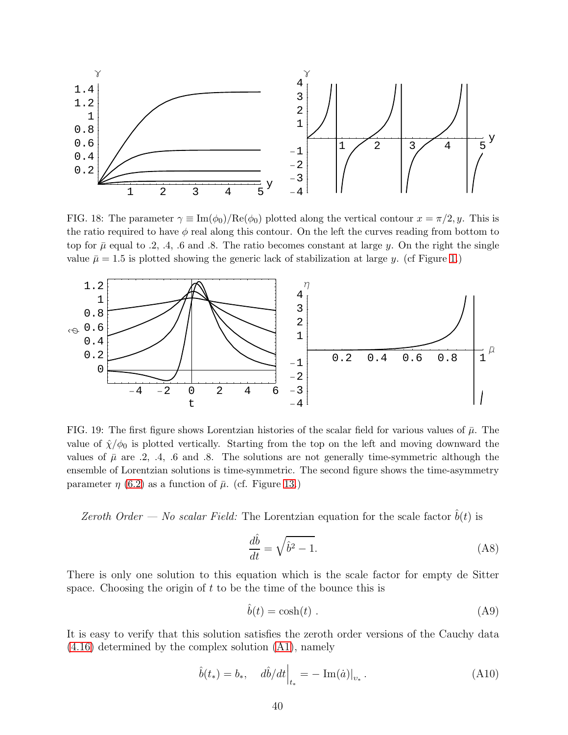

<span id="page-39-0"></span>FIG. 18: The parameter  $\gamma \equiv \text{Im}(\phi_0)/\text{Re}(\phi_0)$  plotted along the vertical contour  $x = \pi/2, y$ . This is the ratio required to have  $\phi$  real along this contour. On the left the curves reading from bottom to top for  $\bar{\mu}$  equal to .2, .4, .6 and .8. The ratio becomes constant at large y. On the right the single value  $\bar{\mu} = 1.5$  $\bar{\mu} = 1.5$  $\bar{\mu} = 1.5$  is plotted showing the generic lack of stabilization at large y. (cf Figure 1.)



<span id="page-39-1"></span>FIG. 19: The first figure shows Lorentzian histories of the scalar field for various values of  $\bar{\mu}$ . The value of  $\hat{\chi}/\phi_0$  is plotted vertically. Starting from the top on the left and moving downward the values of  $\bar{\mu}$  are .2, .4, .6 and .8. The solutions are not generally time-symmetric although the ensemble of Lorentzian solutions is time-symmetric. The second figure shows the time-asymmetry parameter  $\eta$  [\(6.2\)](#page-28-3) as a function of  $\bar{\mu}$ . (cf. Figure [13.](#page-28-2))

*Zeroth Order — No scalar Field:* The Lorentzian equation for the scale factor  $b(t)$  is

$$
\frac{d\hat{b}}{dt} = \sqrt{\hat{b}^2 - 1}.\tag{A8}
$$

There is only one solution to this equation which is the scale factor for empty de Sitter space. Choosing the origin of  $t$  to be the time of the bounce this is

<span id="page-39-2"></span>
$$
\hat{b}(t) = \cosh(t) \tag{A9}
$$

It is easy to verify that this solution satisfies the zeroth order versions of the Cauchy data [\(4.16\)](#page-15-7) determined by the complex solution [\(A1\)](#page-42-1), namely

$$
\hat{b}(t_*) = b_*, \quad d\hat{b}/dt \Big|_{t_*} = -\left. \text{Im}(\hat{a}) \right|_{v_*}.
$$
\n(A10)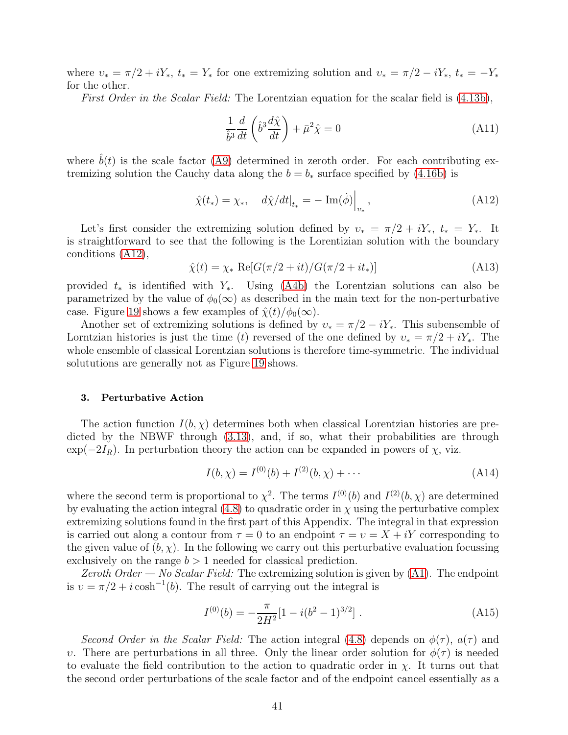where  $v_* = \pi/2 + iY_*, t_* = Y_*$  for one extremizing solution and  $v_* = \pi/2 - iY_*, t_* = -Y_*$ for the other.

*First Order in the Scalar Field:* The Lorentzian equation for the scalar field is [\(4.13b\)](#page-15-6),

$$
\frac{1}{\hat{b}^3} \frac{d}{dt} \left( \hat{b}^3 \frac{d\hat{\chi}}{dt} \right) + \bar{\mu}^2 \hat{\chi} = 0 \tag{A11}
$$

where  $b(t)$  is the scale factor [\(A9\)](#page-39-2) determined in zeroth order. For each contributing extremizing solution the Cauchy data along the  $b = b_*$  surface specified by [\(4.16b\)](#page-15-6) is

<span id="page-40-1"></span>
$$
\hat{\chi}(t_*) = \chi_*, \quad d\hat{\chi}/dt|_{t_*} = -\left. \text{Im}(\dot{\phi}) \right|_{v_*}, \tag{A12}
$$

Let's first consider the extremizing solution defined by  $v_* = \pi/2 + iY_*, t_* = Y_*$ . It is straightforward to see that the following is the Lorentizian solution with the boundary conditions [\(A12\)](#page-40-1),

$$
\hat{\chi}(t) = \chi_* \text{ Re}[G(\pi/2 + it)/G(\pi/2 + it_*)]
$$
\n(A13)

provided  $t_*$  is identified with  $Y_*$ . Using [\(A4b\)](#page-42-2) the Lorentzian solutions can also be parametrized by the value of  $\phi_0(\infty)$  as described in the main text for the non-perturbative case. Figure [19](#page-39-1) shows a few examples of  $\hat{\chi}(t)/\phi_0(\infty)$ .

Another set of extremizing solutions is defined by  $v_* = \pi/2 - iY_*$ . This subensemble of Lorntzian histories is just the time (t) reversed of the one defined by  $v_* = \pi/2 + iY_*$ . The whole ensemble of classical Lorentzian solutions is therefore time-symmetric. The individual solututions are generally not as Figure [19](#page-39-1) shows.

## <span id="page-40-0"></span>3. Perturbative Action

The action function  $I(b, \chi)$  determines both when classical Lorentzian histories are predicted by the NBWF through [\(3.13\)](#page-8-3), and, if so, what their probabilities are through  $\exp(-2I_R)$ . In perturbation theory the action can be expanded in powers of  $\chi$ , viz.

<span id="page-40-2"></span>
$$
I(b, \chi) = I^{(0)}(b) + I^{(2)}(b, \chi) + \cdots
$$
 (A14)

where the second term is proportional to  $\chi^2$ . The terms  $I^{(0)}(b)$  and  $I^{(2)}(b,\chi)$  are determined by evaluating the action integral  $(4.8)$  to quadratic order in  $\chi$  using the perturbative complex extremizing solutions found in the first part of this Appendix. The integral in that expression is carried out along a contour from  $\tau = 0$  to an endpoint  $\tau = v = X + iY$  corresponding to the given value of  $(b, \chi)$ . In the following we carry out this perturbative evaluation focussing exclusively on the range  $b > 1$  needed for classical prediction.

*Zeroth Order — No Scalar Field:* The extremizing solution is given by [\(A1\)](#page-42-1). The endpoint is  $v = \pi/2 + i \cosh^{-1}(b)$ . The result of carrying out the integral is

$$
I^{(0)}(b) = -\frac{\pi}{2H^2} [1 - i(b^2 - 1)^{3/2}].
$$
 (A15)

*Second Order in the Scalar Field:* The action integral [\(4.8\)](#page-14-1) depends on  $\phi(\tau)$ ,  $a(\tau)$  and υ. There are perturbations in all three. Only the linear order solution for  $\phi(\tau)$  is needed to evaluate the field contribution to the action to quadratic order in  $\chi$ . It turns out that the second order perturbations of the scale factor and of the endpoint cancel essentially as a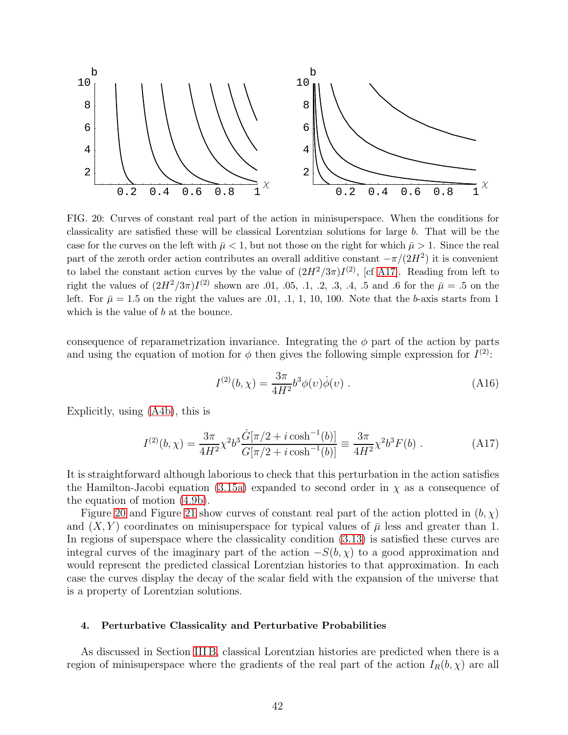

<span id="page-41-2"></span>FIG. 20: Curves of constant real part of the action in minisuperspace. When the conditions for classicality are satisfied these will be classical Lorentzian solutions for large b. That will be the case for the curves on the left with  $\bar{\mu}$  < 1, but not those on the right for which  $\bar{\mu}$  > 1. Since the real part of the zeroth order action contributes an overall additive constant  $-\pi/(2H^2)$  it is convenient to label the constant action curves by the value of  $(2H^2/3\pi)I^{(2)}$ , [cf [A17\]](#page-41-1). Reading from left to right the values of  $(2H^2/3\pi)I^{(2)}$  shown are .01, .05, .1, .2, .3, .4, .5 and .6 for the  $\bar{\mu} = .5$  on the left. For  $\bar{\mu} = 1.5$  on the right the values are .01, .1, 1, 10, 100. Note that the b-axis starts from 1 which is the value of b at the bounce.

consequence of reparametrization invariance. Integrating the  $\phi$  part of the action by parts and using the equation of motion for  $\phi$  then gives the following simple expression for  $I^{(2)}$ :

$$
I^{(2)}(b,\chi) = \frac{3\pi}{4H^2} b^3 \phi(v) \dot{\phi}(v) .
$$
 (A16)

Explicitly, using [\(A4b\)](#page-42-2), this is

<span id="page-41-1"></span>
$$
I^{(2)}(b,\chi) = \frac{3\pi}{4H^2}\chi^2 b^3 \frac{\dot{G}[\pi/2 + i\cosh^{-1}(b)]}{G[\pi/2 + i\cosh^{-1}(b)]} \equiv \frac{3\pi}{4H^2}\chi^2 b^3 F(b) .
$$
 (A17)

It is straightforward although laborious to check that this perturbation in the action satisfies the Hamilton-Jacobi equation [\(3.15a\)](#page-11-3) expanded to second order in  $\chi$  as a consequence of the equation of motion [\(4.9b\)](#page-15-6).

Figure [20](#page-41-2) and Figure [21](#page-42-0) show curves of constant real part of the action plotted in  $(b, \chi)$ and  $(X, Y)$  coordinates on minisuperspace for typical values of  $\bar{\mu}$  less and greater than 1. In regions of superspace where the classicality condition [\(3.13\)](#page-8-3) is satisfied these curves are integral curves of the imaginary part of the action  $-S(b, \chi)$  to a good approximation and would represent the predicted classical Lorentzian histories to that approximation. In each case the curves display the decay of the scalar field with the expansion of the universe that is a property of Lorentzian solutions.

#### <span id="page-41-0"></span>4. Perturbative Classicality and Perturbative Probabilities

As discussed in Section [III B,](#page-8-0) classical Lorentzian histories are predicted when there is a region of minisuperspace where the gradients of the real part of the action  $I_R(b, \chi)$  are all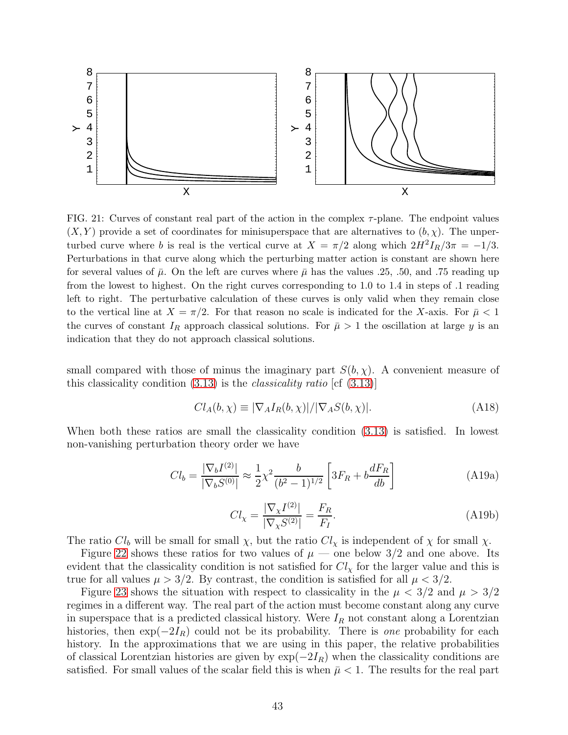

<span id="page-42-0"></span>FIG. 21: Curves of constant real part of the action in the complex  $\tau$ -plane. The endpoint values  $(X, Y)$  provide a set of coordinates for minisuperspace that are alternatives to  $(b, \chi)$ . The unperturbed curve where b is real is the vertical curve at  $X = \pi/2$  along which  $2H^2I_R/3\pi = -1/3$ . Perturbations in that curve along which the perturbing matter action is constant are shown here for several values of  $\bar{\mu}$ . On the left are curves where  $\bar{\mu}$  has the values .25, .50, and .75 reading up from the lowest to highest. On the right curves corresponding to 1.0 to 1.4 in steps of .1 reading left to right. The perturbative calculation of these curves is only valid when they remain close to the vertical line at  $X = \pi/2$ . For that reason no scale is indicated for the X-axis. For  $\bar{\mu} < 1$ the curves of constant  $I_R$  approach classical solutions. For  $\bar{\mu} > 1$  the oscillation at large y is an indication that they do not approach classical solutions.

small compared with those of minus the imaginary part  $S(b, \chi)$ . A convenient measure of this classicality condition [\(3.13\)](#page-8-3) is the *classicality ratio* [cf [\(3.13\)](#page-8-3)]

$$
Cl_A(b, \chi) \equiv |\nabla_A I_R(b, \chi)| / |\nabla_A S(b, \chi)|. \tag{A18}
$$

When both these ratios are small the classicality condition [\(3.13\)](#page-8-3) is satisfied. In lowest non-vanishing perturbation theory order we have

<span id="page-42-1"></span>
$$
Cl_b = \frac{|\nabla_b I^{(2)}|}{|\nabla_b S^{(0)}|} \approx \frac{1}{2} \chi^2 \frac{b}{(b^2 - 1)^{1/2}} \left[ 3F_R + b \frac{dF_R}{db} \right]
$$
(A19a)

<span id="page-42-2"></span>
$$
Cl_{\chi} = \frac{|\nabla_{\chi} I^{(2)}|}{|\nabla_{\chi} S^{(2)}|} = \frac{F_R}{F_I}.
$$
\n(A19b)

The ratio  $Cl_b$  will be small for small  $\chi$ , but the ratio  $Cl_{\chi}$  is independent of  $\chi$  for small  $\chi$ .

Figure [22](#page-43-7) shows these ratios for two values of  $\mu$  — one below 3/2 and one above. Its evident that the classicality condition is not satisfied for  $Cl<sub>x</sub>$  for the larger value and this is true for all values  $\mu > 3/2$ . By contrast, the condition is satisfied for all  $\mu < 3/2$ .

Figure [23](#page-44-5) shows the situation with respect to classicality in the  $\mu < 3/2$  and  $\mu > 3/2$ regimes in a different way. The real part of the action must become constant along any curve in superspace that is a predicted classical history. Were  $I_R$  not constant along a Lorentzian histories, then  $\exp(-2I_R)$  could not be its probability. There is *one* probability for each history. In the approximations that we are using in this paper, the relative probabilities of classical Lorentzian histories are given by  $\exp(-2I_R)$  when the classicality conditions are satisfied. For small values of the scalar field this is when  $\bar{\mu}$  < 1. The results for the real part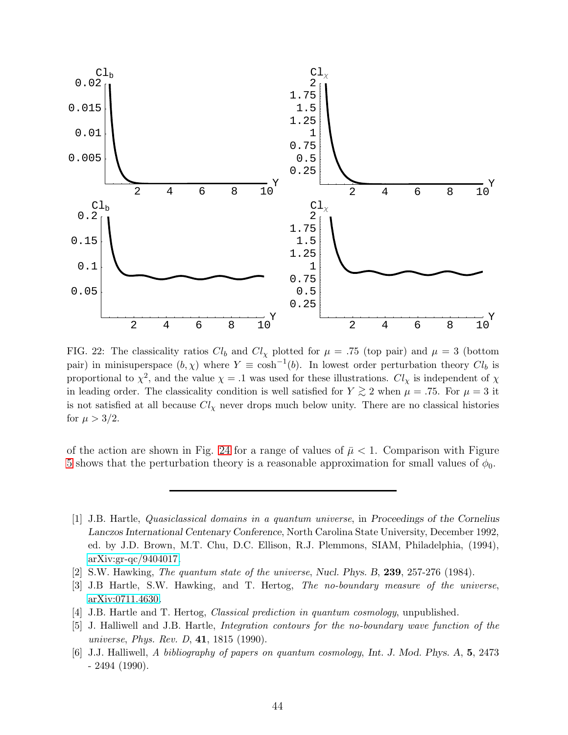

<span id="page-43-7"></span>FIG. 22: The classicality ratios  $Cl_b$  and  $Cl_\chi$  plotted for  $\mu = .75$  (top pair) and  $\mu = 3$  (bottom pair) in minisuperspace  $(b, \chi)$  where  $Y \equiv \cosh^{-1}(b)$ . In lowest order perturbation theory  $Cl_b$  is proportional to  $\chi^2$ , and the value  $\chi = 0.1$  was used for these illustrations.  $Cl_{\chi}$  is independent of  $\chi$ in leading order. The classicality condition is well satisfied for  $Y \gtrsim 2$  when  $\mu = .75$ . For  $\mu = 3$  it is not satisfied at all because  $Cl_{\chi}$  never drops much below unity. There are no classical histories for  $\mu > 3/2$ .

<span id="page-43-0"></span>of the action are shown in Fig. [24](#page-44-6) for a range of values of  $\bar{\mu} < 1$ . Comparison with Figure [5](#page-22-1) shows that the perturbation theory is a reasonable approximation for small values of  $\phi_0$ .

- <span id="page-43-2"></span>[2] S.W. Hawking, *The quantum state of the universe*, Nucl. Phys. B, 239, 257-276 (1984).
- <span id="page-43-3"></span>[3] J.B Hartle, S.W. Hawking, and T. Hertog, *The no-boundary measure of the universe*, [arXiv:0711.4630.](http://arXiv.org/abs/0711.4630)
- <span id="page-43-4"></span>[4] J.B. Hartle and T. Hertog, *Classical prediction in quantum cosmology*, unpublished.
- <span id="page-43-5"></span>[5] J. Halliwell and J.B. Hartle, *Integration contours for the no-boundary wave function of the universe*, *Phys. Rev. D*, 41, 1815 (1990).
- <span id="page-43-6"></span>[6] J.J. Halliwell, *A bibliography of papers on quantum cosmology*, Int. J. Mod. Phys. A, 5, 2473 - 2494 (1990).

<span id="page-43-1"></span><sup>[1]</sup> J.B. Hartle, *Quasiclassical domains in a quantum universe*, in Proceedings of the Cornelius Lanczos International Centenary Conference, North Carolina State University, December 1992, ed. by J.D. Brown, M.T. Chu, D.C. Ellison, R.J. Plemmons, SIAM, Philadelphia, (1994), [arXiv:gr-qc/9404017.](http://arXiv.org/abs/gr-qc/9404017)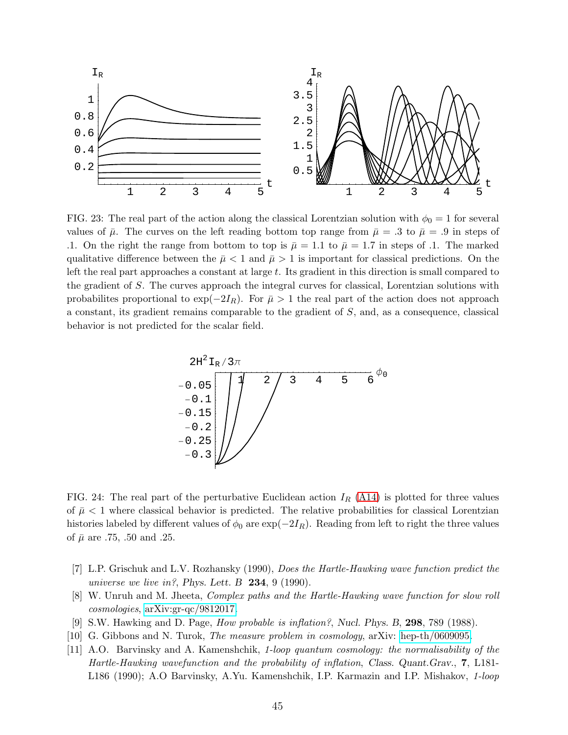

<span id="page-44-5"></span>FIG. 23: The real part of the action along the classical Lorentzian solution with  $\phi_0 = 1$  for several values of  $\bar{\mu}$ . The curves on the left reading bottom top range from  $\bar{\mu} = .3$  to  $\bar{\mu} = .9$  in steps of .1. On the right the range from bottom to top is  $\bar{\mu} = 1.1$  to  $\bar{\mu} = 1.7$  in steps of .1. The marked qualitative difference between the  $\bar{\mu}$  < 1 and  $\bar{\mu}$  > 1 is important for classical predictions. On the left the real part approaches a constant at large t. Its gradient in this direction is small compared to the gradient of S. The curves approach the integral curves for classical, Lorentzian solutions with probabilites proportional to  $\exp(-2I_R)$ . For  $\bar{\mu} > 1$  the real part of the action does not approach a constant, its gradient remains comparable to the gradient of S, and, as a consequence, classical behavior is not predicted for the scalar field.



<span id="page-44-6"></span>FIG. 24: The real part of the perturbative Euclidean action  $I_R$  [\(A14\)](#page-40-2) is plotted for three values of  $\bar{\mu}$  < 1 where classical behavior is predicted. The relative probabilities for classical Lorentzian histories labeled by different values of  $\phi_0$  are  $\exp(-2I_R)$ . Reading from left to right the three values of  $\bar{\mu}$  are .75, .50 and .25.

- <span id="page-44-0"></span>[7] L.P. Grischuk and L.V. Rozhansky (1990), *Does the Hartle-Hawking wave function predict the universe we live in?*, Phys. Lett. B 234, 9 (1990).
- <span id="page-44-1"></span>[8] W. Unruh and M. Jheeta, *Complex paths and the Hartle-Hawking wave function for slow roll cosmologies*, [arXiv:gr-qc/9812017.](http://arXiv.org/abs/gr-qc/9812017)
- <span id="page-44-2"></span>[9] S.W. Hawking and D. Page, *How probable is inflation?*, Nucl. Phys. B, 298, 789 (1988).
- <span id="page-44-3"></span>[10] G. Gibbons and N. Turok, *The measure problem in cosmology*, arXiv: [hep-th/0609095.](http://arXiv.org/abs/hep-th/0609095)
- <span id="page-44-4"></span>[11] A.O. Barvinsky and A. Kamenshchik, *1-loop quantum cosmology: the normalisability of the Hartle-Hawking wavefunction and the probability of inflation*, Class. Quant.Grav., 7, L181- L186 (1990); A.O Barvinsky, A.Yu. Kamenshchik, I.P. Karmazin and I.P. Mishakov, *1-loop*